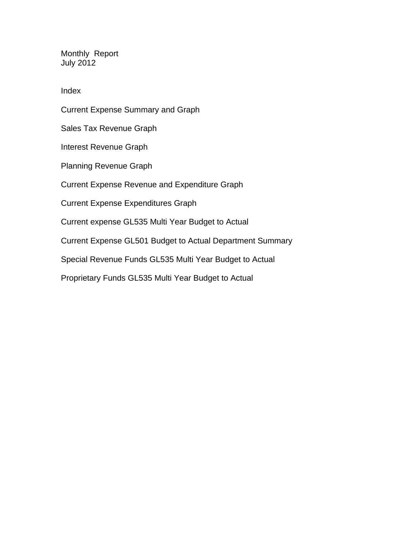Monthly Report July 2012

Index

Current Expense Summary and Graph Sales Tax Revenue Graph Interest Revenue Graph Planning Revenue Graph Current Expense Revenue and Expenditure Graph Current Expense Expenditures Graph Current expense GL535 Multi Year Budget to Actual Current Expense GL501 Budget to Actual Department Summary Special Revenue Funds GL535 Multi Year Budget to Actual Proprietary Funds GL535 Multi Year Budget to Actual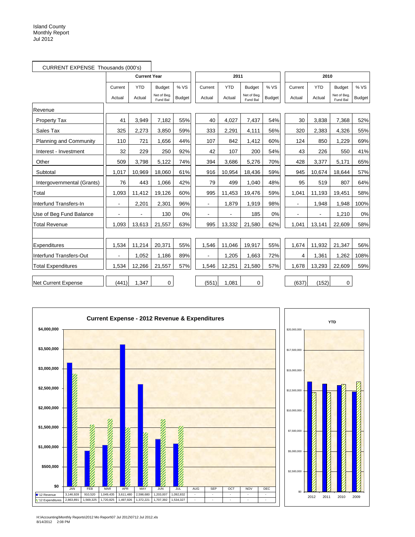| CURRENT EXPENSE Thousands (000's) |                |                     |                         |               |                |            |                         |               |                |            |                         |               |
|-----------------------------------|----------------|---------------------|-------------------------|---------------|----------------|------------|-------------------------|---------------|----------------|------------|-------------------------|---------------|
|                                   |                | <b>Current Year</b> |                         |               |                | 2011       |                         |               |                | 2010       |                         |               |
|                                   | Current        | <b>YTD</b>          | <b>Budget</b>           | % VS          | Current        | <b>YTD</b> | <b>Budget</b>           | % VS          | Current        | <b>YTD</b> | <b>Budget</b>           | % VS          |
|                                   | Actual         | Actual              | Net of Beg.<br>Fund Bal | <b>Budget</b> | Actual         | Actual     | Net of Bea.<br>Fund Bal | <b>Budget</b> | Actual         | Actual     | Net of Beg.<br>Fund Bal | <b>Budget</b> |
| Revenue                           |                |                     |                         |               |                |            |                         |               |                |            |                         |               |
| <b>Property Tax</b>               | 41             | 3,949               | 7,182                   | 55%           | 40             | 4,027      | 7,437                   | 54%           | 30             | 3,838      | 7,368                   | 52%           |
| Sales Tax                         | 325            | 2,273               | 3,850                   | 59%           | 333            | 2,291      | 4,111                   | 56%           | 320            | 2.383      | 4,326                   | 55%           |
| <b>Planning and Community</b>     | 110            | 721                 | 1,656                   | 44%           | 107            | 842        | 1,412                   | 60%           | 124            | 850        | 1,229                   | 69%           |
| Interest - Investment             | 32             | 229                 | 250                     | 92%           | 42             | 107        | 200                     | 54%           | 43             | 226        | 550                     | 41%           |
| Other                             | 509            | 3,798               | 5,122                   | 74%           | 394            | 3,686      | 5,276                   | 70%           | 428            | 3,377      | 5,171                   | 65%           |
| Subtotal                          | 1,017          | 10,969              | 18,060                  | 61%           | 916            | 10,954     | 18,436                  | 59%           | 945            | 10,674     | 18,644                  | 57%           |
| Intergovernmental (Grants)        | 76             | 443                 | 1,066                   | 42%           | 79             | 499        | 1,040                   | 48%           | 95             | 519        | 807                     | 64%           |
| Total                             | 1,093          | 11,412              | 19,126                  | 60%           | 995            | 11,453     | 19,476                  | 59%           | 1,041          | 11,193     | 19,451                  | 58%           |
| Interfund Transfers-In            | $\blacksquare$ | 2,201               | 2,301                   | 96%           | $\blacksquare$ | 1.879      | 1,919                   | 98%           | $\blacksquare$ | 1,948      | 1,948                   | 100%          |
| Use of Beg Fund Balance           |                |                     | 130                     | 0%            |                |            | 185                     | 0%            | $\overline{a}$ |            | 1,210                   | 0%            |
| <b>Total Revenue</b>              | 1,093          | 13,613              | 21,557                  | 63%           | 995            | 13,332     | 21,580                  | 62%           | 1,041          | 13,141     | 22,609                  | 58%           |
|                                   |                |                     |                         |               |                |            |                         |               |                |            |                         |               |
| Expenditures                      | 1,534          | 11,214              | 20,371                  | 55%           | 1,546          | 11,046     | 19,917                  | 55%           | 1,674          | 11,932     | 21,347                  | 56%           |
| Interfund Transfers-Out           |                | 1,052               | 1,186                   | 89%           |                | 1,205      | 1,663                   | 72%           | 4              | 1,361      | 1,262                   | 108%          |
| <b>Total Expenditures</b>         | 1,534          | 12,266              | 21,557                  | 57%           | 1,546          | 12,251     | 21,580                  | 57%           | 1,678          | 13,293     | 22,609                  | 59%           |
| <b>Net Current Expense</b>        | (441)          | 1,347               | 0                       |               | (551)          | 1,081      | 0                       |               | (637)          | (152)      | 0                       |               |



H:\Accounting\Monthly Reports\2012 Mo Report\07 Jul 2012\0712 Jul 2012.xls 8/14/2012 2:08 PM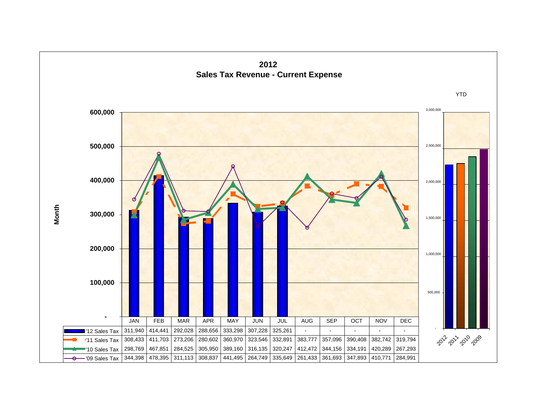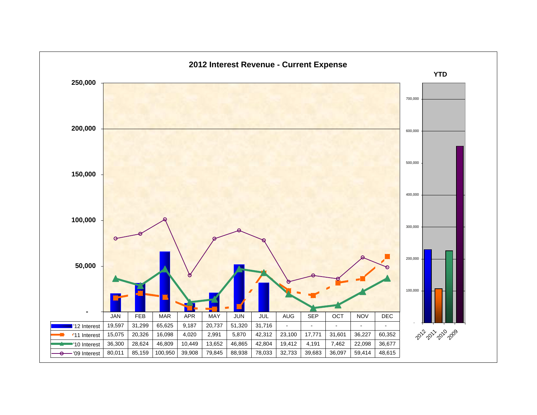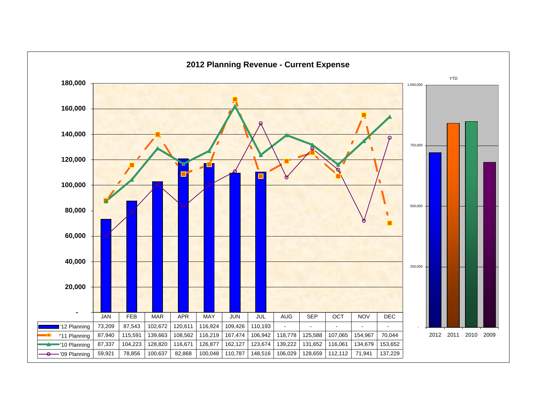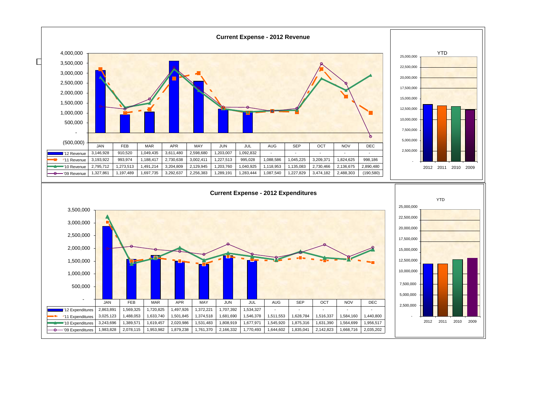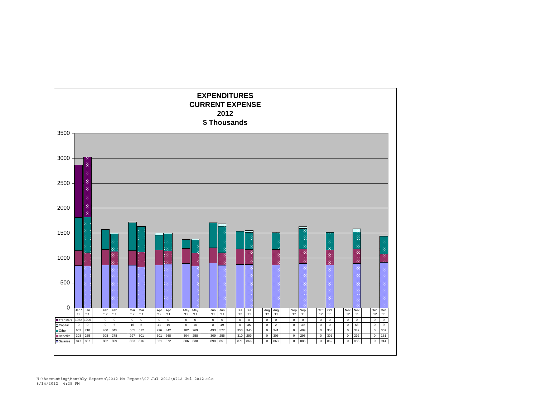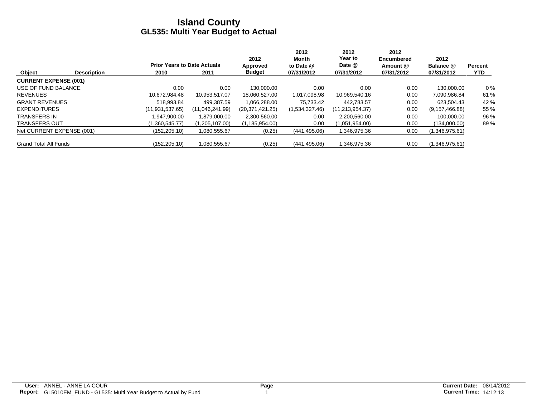|                              |                    |                                    |                 | 2012             | 2012<br>Month  | 2012<br>Year to   | 2012<br><b>Encumbered</b> | 2012             |                |
|------------------------------|--------------------|------------------------------------|-----------------|------------------|----------------|-------------------|---------------------------|------------------|----------------|
|                              |                    | <b>Prior Years to Date Actuals</b> |                 | Approved         | to Date @      | Date @            | Amount @                  | Balance @        | <b>Percent</b> |
| Object                       | <b>Description</b> | 2010                               | 2011            | <b>Budget</b>    | 07/31/2012     | 07/31/2012        | 07/31/2012                | 07/31/2012       | <b>YTD</b>     |
| <b>CURRENT EXPENSE (001)</b> |                    |                                    |                 |                  |                |                   |                           |                  |                |
| USE OF FUND BALANCE          |                    | 0.00                               | 0.00            | 130.000.00       | 0.00           | 0.00              | 0.00                      | 130.000.00       | $0\%$          |
| <b>REVENUES</b>              |                    | 10.672.984.48                      | 10.953.517.07   | 18.060.527.00    | 1,017,098.98   | 10,969,540.16     | 0.00                      | 7,090,986.84     | 61 %           |
| <b>GRANT REVENUES</b>        |                    | 518.993.84                         | 499.387.59      | 1.066.288.00     | 75.733.42      | 442.783.57        | 0.00                      | 623.504.43       | 42 %           |
| <b>EXPENDITURES</b>          |                    | (11.931.537.65)                    | (11,046,241.99) | (20.371.421.25)  | (1,534,327.46) | (11, 213, 954.37) | 0.00                      | (9, 157, 466.88) | 55 %           |
| <b>TRANSFERS IN</b>          |                    | .947.900.00                        | 1.879.000.00    | 2,300,560.00     | 0.00           | 2,200,560.00      | 0.00                      | 100.000.00       | 96 %           |
| <b>TRANSFERS OUT</b>         |                    | (1.360.545.77)                     | (1,205,107.00)  | (1, 185, 954.00) | 0.00           | (1,051,954.00)    | 0.00                      | (134,000.00)     | 89%            |
| Net CURRENT EXPENSE (001)    |                    | (152,205.10)                       | 1,080,555.67    | (0.25)           | (441, 495.06)  | 1,346,975.36      | 0.00                      | (1,346,975.61)   |                |
| <b>Grand Total All Funds</b> |                    | (152, 205.10)                      | 1,080,555.67    | (0.25)           | (441, 495.06)  | 1,346,975.36      | 0.00                      | (1,346,975.61)   |                |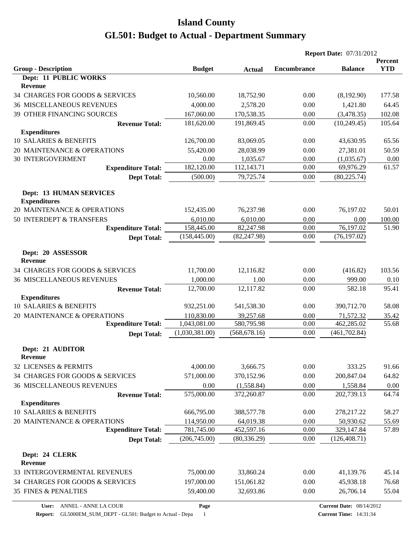|                                                       |                          |                         | <b>Report Date: 07/31/2012</b> |                                 |                       |
|-------------------------------------------------------|--------------------------|-------------------------|--------------------------------|---------------------------------|-----------------------|
| <b>Group - Description</b>                            | <b>Budget</b>            | <b>Actual</b>           | <b>Encumbrance</b>             | <b>Balance</b>                  | Percent<br><b>YTD</b> |
| Dept: 11 PUBLIC WORKS<br>Revenue                      |                          |                         |                                |                                 |                       |
| 34 CHARGES FOR GOODS & SERVICES                       | 10,560.00                | 18,752.90               | 0.00                           | (8,192.90)                      | 177.58                |
| <b>36 MISCELLANEOUS REVENUES</b>                      | 4,000.00                 | 2,578.20                | 0.00                           | 1,421.80                        | 64.45                 |
| 39 OTHER FINANCING SOURCES                            | 167,060.00               | 170,538.35              | 0.00                           | (3,478.35)                      | 102.08                |
| <b>Revenue Total:</b>                                 | 181,620.00               | 191,869.45              | 0.00                           | (10, 249.45)                    | 105.64                |
| <b>Expenditures</b>                                   |                          |                         |                                |                                 |                       |
| 10 SALARIES & BENEFITS                                | 126,700.00               | 83,069.05               | 0.00                           | 43,630.95                       | 65.56                 |
| 20 MAINTENANCE & OPERATIONS                           | 55,420.00                | 28,038.99               | 0.00                           | 27,381.01                       | 50.59                 |
| <b>30 INTERGOVERMENT</b>                              | 0.00                     | 1,035.67                | 0.00                           | (1,035.67)                      | $0.00\,$              |
| <b>Expenditure Total:</b>                             | 182,120.00               | 112,143.71              | 0.00                           | 69,976.29                       | 61.57                 |
| <b>Dept Total:</b>                                    | (500.00)                 | 79,725.74               | 0.00                           | (80, 225.74)                    |                       |
| <b>Dept: 13 HUMAN SERVICES</b><br><b>Expenditures</b> |                          |                         |                                |                                 |                       |
| 20 MAINTENANCE & OPERATIONS                           | 152,435.00               | 76,237.98               | 0.00                           | 76,197.02                       | 50.01                 |
| 50 INTERDEPT & TRANSFERS                              | 6,010.00                 | 6,010.00                | 0.00                           | 0.00                            | 100.00                |
| <b>Expenditure Total:</b>                             | 158,445.00               | 82,247.98               | 0.00                           | 76,197.02                       | 51.90                 |
| <b>Dept Total:</b>                                    | (158, 445.00)            | (82, 247.98)            | 0.00                           | (76, 197.02)                    |                       |
| Dept: 20 ASSESSOR<br><b>Revenue</b>                   |                          |                         |                                |                                 |                       |
| 34 CHARGES FOR GOODS & SERVICES                       | 11,700.00                | 12,116.82               | 0.00                           | (416.82)                        | 103.56                |
| <b>36 MISCELLANEOUS REVENUES</b>                      | 1,000.00                 | 1.00                    | 0.00                           | 999.00                          | 0.10                  |
| <b>Revenue Total:</b>                                 | 12,700.00                | 12,117.82               | 0.00                           | 582.18                          | 95.41                 |
| <b>Expenditures</b>                                   |                          |                         |                                |                                 |                       |
| 10 SALARIES & BENEFITS                                | 932,251.00               | 541,538.30              | 0.00                           | 390,712.70                      | 58.08                 |
| 20 MAINTENANCE & OPERATIONS                           | 110,830.00               | 39,257.68               | 0.00                           | 71,572.32                       | 35.42                 |
| <b>Expenditure Total:</b>                             | 1,043,081.00             | 580,795.98              | 0.00                           | 462,285.02                      | 55.68                 |
| <b>Dept Total:</b>                                    | (1,030,381.00)           | (568, 678.16)           | 0.00                           | (461, 702.84)                   |                       |
| Dept: 21 AUDITOR                                      |                          |                         |                                |                                 |                       |
| <b>Revenue</b>                                        |                          |                         |                                |                                 |                       |
| 32 LICENSES & PERMITS                                 | 4,000.00                 | 3,666.75                | 0.00                           | 333.25                          | 91.66                 |
| 34 CHARGES FOR GOODS & SERVICES                       | 571,000.00               | 370,152.96              | 0.00                           | 200,847.04                      | 64.82                 |
| <b>36 MISCELLANEOUS REVENUES</b>                      | 0.00                     | (1,558.84)              | 0.00                           | 1,558.84                        | 0.00                  |
| <b>Revenue Total:</b>                                 | 575,000.00               | 372,260.87              | 0.00                           | 202,739.13                      | 64.74                 |
| <b>Expenditures</b>                                   |                          |                         |                                |                                 |                       |
| 10 SALARIES & BENEFITS                                | 666,795.00               | 388,577.78              | 0.00                           | 278,217.22                      | 58.27                 |
| 20 MAINTENANCE & OPERATIONS                           | 114,950.00<br>781,745.00 | 64,019.38<br>452,597.16 | 0.00<br>0.00                   | 50,930.62                       | 55.69<br>57.89        |
| <b>Expenditure Total:</b>                             | (206,745.00)             | (80, 336.29)            | 0.00                           | 329,147.84<br>(126, 408.71)     |                       |
| <b>Dept Total:</b>                                    |                          |                         |                                |                                 |                       |
| Dept: 24 CLERK<br><b>Revenue</b>                      |                          |                         |                                |                                 |                       |
| 33 INTERGOVERMENTAL REVENUES                          | 75,000.00                | 33,860.24               | 0.00                           | 41,139.76                       | 45.14                 |
| 34 CHARGES FOR GOODS & SERVICES                       | 197,000.00               | 151,061.82              | 0.00                           | 45,938.18                       | 76.68                 |
| 35 FINES & PENALTIES                                  | 59,400.00                | 32,693.86               | 0.00                           | 26,706.14                       | 55.04                 |
| ANNEL - ANNE LA COUR<br>User:                         | Page                     |                         |                                | <b>Current Date: 08/14/2012</b> |                       |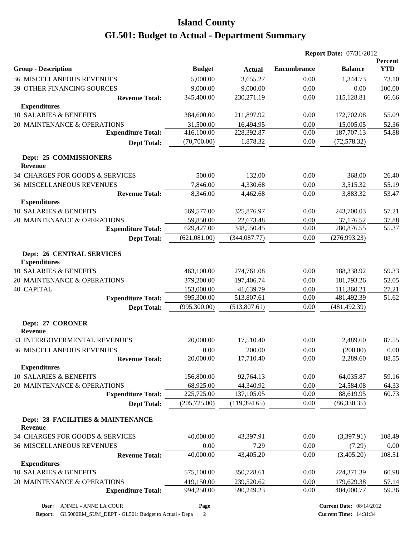|                                                         |               |               |                    | <b>Report Date: 07/31/2012</b> |                              |
|---------------------------------------------------------|---------------|---------------|--------------------|--------------------------------|------------------------------|
| <b>Group - Description</b>                              | <b>Budget</b> | <b>Actual</b> | <b>Encumbrance</b> | <b>Balance</b>                 | <b>Percent</b><br><b>YTD</b> |
| <b>36 MISCELLANEOUS REVENUES</b>                        | 5,000.00      | 3,655.27      | 0.00               | 1,344.73                       | 73.10                        |
| 39 OTHER FINANCING SOURCES                              | 9,000.00      | 9,000.00      | 0.00               | 0.00                           | 100.00                       |
| <b>Revenue Total:</b>                                   | 345,400.00    | 230,271.19    | 0.00               | 115,128.81                     | 66.66                        |
| <b>Expenditures</b>                                     |               |               |                    |                                |                              |
| 10 SALARIES & BENEFITS                                  | 384,600.00    | 211,897.92    | 0.00               | 172,702.08                     | 55.09                        |
| 20 MAINTENANCE & OPERATIONS                             | 31,500.00     | 16,494.95     | 0.00               | 15,005.05                      | 52.36                        |
| <b>Expenditure Total:</b>                               | 416,100.00    | 228,392.87    | 0.00               | 187,707.13                     | 54.88                        |
| <b>Dept Total:</b>                                      | (70,700.00)   | 1,878.32      | 0.00               | (72, 578.32)                   |                              |
| Dept: 25 COMMISSIONERS                                  |               |               |                    |                                |                              |
| <b>Revenue</b>                                          |               |               |                    |                                |                              |
| 34 CHARGES FOR GOODS & SERVICES                         | 500.00        | 132.00        | 0.00               | 368.00                         | 26.40                        |
| <b>36 MISCELLANEOUS REVENUES</b>                        | 7,846.00      | 4,330.68      | 0.00               | 3,515.32                       | 55.19                        |
| <b>Revenue Total:</b>                                   | 8,346.00      | 4,462.68      | 0.00               | 3,883.32                       | 53.47                        |
| <b>Expenditures</b>                                     |               |               |                    |                                |                              |
| 10 SALARIES & BENEFITS                                  | 569,577.00    | 325,876.97    | 0.00               | 243,700.03                     | 57.21                        |
| 20 MAINTENANCE & OPERATIONS                             | 59,850.00     | 22,673.48     | 0.00               | 37,176.52                      | 37.88                        |
| <b>Expenditure Total:</b>                               | 629,427.00    | 348,550.45    | 0.00               | 280,876.55                     | 55.37                        |
| <b>Dept Total:</b>                                      | (621,081.00)  | (344, 087.77) | 0.00               | (276,993.23)                   |                              |
| <b>Dept: 26 CENTRAL SERVICES</b><br><b>Expenditures</b> |               |               |                    |                                |                              |
| 10 SALARIES & BENEFITS                                  | 463,100.00    | 274,761.08    | 0.00               | 188,338.92                     | 59.33                        |
| 20 MAINTENANCE & OPERATIONS                             | 379,200.00    | 197,406.74    | 0.00               | 181,793.26                     | 52.05                        |
| <b>40 CAPITAL</b>                                       | 153,000.00    | 41,639.79     | 0.00               | 111,360.21                     | 27.21                        |
| <b>Expenditure Total:</b>                               | 995,300.00    | 513,807.61    | 0.00               | 481,492.39                     | 51.62                        |
| <b>Dept Total:</b>                                      | (995,300.00)  | (513,807.61)  | 0.00               | (481, 492.39)                  |                              |
| Dept: 27 CORONER<br><b>Revenue</b>                      |               |               |                    |                                |                              |
| 33 INTERGOVERMENTAL REVENUES                            | 20,000.00     | 17,510.40     | 0.00               | 2,489.60                       | 87.55                        |
| <b>36 MISCELLANEOUS REVENUES</b>                        | 0.00          | 200.00        | 0.00               | (200.00)                       | 0.00                         |
| <b>Revenue Total:</b>                                   | 20,000.00     | 17,710.40     | 0.00               | 2,289.60                       | 88.55                        |
| <b>Expenditures</b>                                     |               |               |                    |                                |                              |
| <b>10 SALARIES &amp; BENEFITS</b>                       | 156,800.00    | 92,764.13     | 0.00               | 64,035.87                      | 59.16                        |
| 20 MAINTENANCE & OPERATIONS                             | 68,925.00     | 44,340.92     | 0.00               | 24,584.08                      | 64.33                        |
| <b>Expenditure Total:</b>                               | 225,725.00    | 137,105.05    | 0.00               | 88,619.95                      | 60.73                        |
| <b>Dept Total:</b>                                      | (205, 725.00) | (119, 394.65) | 0.00               | (86, 330.35)                   |                              |
| Dept: 28 FACILITIES & MAINTENANCE<br><b>Revenue</b>     |               |               |                    |                                |                              |
| 34 CHARGES FOR GOODS & SERVICES                         | 40,000.00     | 43,397.91     | 0.00               | (3,397.91)                     | 108.49                       |
| <b>36 MISCELLANEOUS REVENUES</b>                        | 0.00          | 7.29          | 0.00               | (7.29)                         | 0.00                         |
| <b>Revenue Total:</b>                                   | 40,000.00     | 43,405.20     | 0.00               | (3,405.20)                     | 108.51                       |
| <b>Expenditures</b>                                     |               |               |                    |                                |                              |
| <b>10 SALARIES &amp; BENEFITS</b>                       | 575,100.00    | 350,728.61    | 0.00               | 224,371.39                     | 60.98                        |
| 20 MAINTENANCE & OPERATIONS                             | 419,150.00    | 239,520.62    | 0.00               | 179,629.38                     | 57.14                        |
| <b>Expenditure Total:</b>                               | 994,250.00    | 590,249.23    | 0.00               | 404,000.77                     | 59.36                        |
|                                                         |               |               |                    |                                |                              |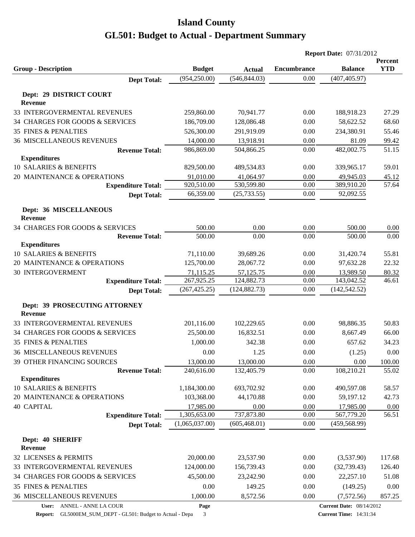|                                                 |                         |                                | <b>Report Date: 07/31/2012</b> |                                 |                |  |
|-------------------------------------------------|-------------------------|--------------------------------|--------------------------------|---------------------------------|----------------|--|
|                                                 |                         |                                |                                |                                 | Percent        |  |
| <b>Group - Description</b>                      | <b>Budget</b>           | <b>Actual</b><br>(546, 844.03) | <b>Encumbrance</b><br>0.00     | <b>Balance</b>                  | <b>YTD</b>     |  |
| <b>Dept Total:</b>                              | (954, 250.00)           |                                |                                | (407, 405.97)                   |                |  |
| Dept: 29 DISTRICT COURT                         |                         |                                |                                |                                 |                |  |
| Revenue                                         |                         |                                |                                |                                 |                |  |
| 33 INTERGOVERMENTAL REVENUES                    | 259,860.00              | 70,941.77                      | 0.00                           | 188,918.23                      | 27.29          |  |
| 34 CHARGES FOR GOODS & SERVICES                 | 186,709.00              | 128,086.48                     | 0.00                           | 58,622.52                       | 68.60          |  |
| <b>35 FINES &amp; PENALTIES</b>                 | 526,300.00              | 291,919.09                     | 0.00                           | 234,380.91                      | 55.46          |  |
| <b>36 MISCELLANEOUS REVENUES</b>                | 14,000.00               | 13,918.91                      | 0.00                           | 81.09                           | 99.42          |  |
| <b>Revenue Total:</b>                           | 986,869.00              | 504,866.25                     | 0.00                           | 482,002.75                      | 51.15          |  |
| <b>Expenditures</b>                             |                         |                                |                                |                                 |                |  |
| 10 SALARIES & BENEFITS                          | 829,500.00              | 489,534.83                     | 0.00                           | 339,965.17                      | 59.01          |  |
| 20 MAINTENANCE & OPERATIONS                     | 91,010.00               | 41,064.97                      | 0.00                           | 49,945.03                       | 45.12          |  |
| <b>Expenditure Total:</b>                       | 920,510.00              | 530,599.80                     | 0.00                           | 389,910.20                      | 57.64          |  |
| <b>Dept Total:</b>                              | 66,359.00               | (25, 733.55)                   | 0.00                           | 92,092.55                       |                |  |
| Dept: 36 MISCELLANEOUS                          |                         |                                |                                |                                 |                |  |
| <b>Revenue</b>                                  |                         |                                |                                |                                 |                |  |
| 34 CHARGES FOR GOODS & SERVICES                 | 500.00                  | 0.00                           | 0.00                           | 500.00                          | 0.00           |  |
| <b>Revenue Total:</b>                           | 500.00                  | 0.00                           | 0.00                           | 500.00                          | 0.00           |  |
| <b>Expenditures</b>                             |                         |                                |                                |                                 |                |  |
| 10 SALARIES & BENEFITS                          | 71,110.00               | 39,689.26                      | 0.00                           | 31,420.74                       | 55.81          |  |
| 20 MAINTENANCE & OPERATIONS                     | 125,700.00              | 28,067.72                      | 0.00                           | 97,632.28                       | 22.32          |  |
| <b>30 INTERGOVERMENT</b>                        | 71,115.25<br>267,925.25 | 57,125.75<br>124,882.73        | 0.00<br>0.00                   | 13,989.50<br>143,042.52         | 80.32<br>46.61 |  |
| <b>Expenditure Total:</b>                       | (267, 425.25)           | (124, 882.73)                  | 0.00                           | (142, 542.52)                   |                |  |
| <b>Dept Total:</b>                              |                         |                                |                                |                                 |                |  |
| Dept: 39 PROSECUTING ATTORNEY<br><b>Revenue</b> |                         |                                |                                |                                 |                |  |
| 33 INTERGOVERMENTAL REVENUES                    | 201,116.00              | 102,229.65                     | 0.00                           | 98,886.35                       | 50.83          |  |
| 34 CHARGES FOR GOODS & SERVICES                 | 25,500.00               | 16,832.51                      | 0.00                           | 8,667.49                        | 66.00          |  |
| <b>35 FINES &amp; PENALTIES</b>                 | 1,000.00                | 342.38                         | 0.00                           | 657.62                          | 34.23          |  |
| <b>36 MISCELLANEOUS REVENUES</b>                | 0.00                    | 1.25                           | 0.00                           | (1.25)                          | $0.00\,$       |  |
| 39 OTHER FINANCING SOURCES                      | 13,000.00               | 13,000.00                      | 0.00                           | 0.00                            | 100.00         |  |
| <b>Revenue Total:</b>                           | 240,616.00              | 132,405.79                     | 0.00                           | 108,210.21                      | 55.02          |  |
| <b>Expenditures</b>                             |                         |                                |                                |                                 |                |  |
| 10 SALARIES & BENEFITS                          | 1,184,300.00            | 693,702.92                     | 0.00                           | 490,597.08                      | 58.57          |  |
| 20 MAINTENANCE & OPERATIONS                     | 103,368.00              | 44,170.88                      | 0.00                           | 59,197.12                       | 42.73          |  |
| <b>40 CAPITAL</b>                               | 17,985.00               | 0.00                           | 0.00                           | 17,985.00                       | 0.00           |  |
| <b>Expenditure Total:</b>                       | 1,305,653.00            | 737,873.80                     | 0.00                           | 567,779.20                      | 56.51          |  |
| <b>Dept Total:</b>                              | (1,065,037.00)          | (605, 468.01)                  | 0.00                           | (459, 568.99)                   |                |  |
| Dept: 40 SHERIFF                                |                         |                                |                                |                                 |                |  |
| <b>Revenue</b>                                  |                         |                                |                                |                                 |                |  |
| 32 LICENSES & PERMITS                           | 20,000.00               | 23,537.90                      | 0.00                           | (3,537.90)                      | 117.68         |  |
| 33 INTERGOVERMENTAL REVENUES                    | 124,000.00              | 156,739.43                     | 0.00                           | (32, 739.43)                    | 126.40         |  |
| 34 CHARGES FOR GOODS & SERVICES                 | 45,500.00               | 23,242.90                      | 0.00                           | 22,257.10                       | 51.08          |  |
| 35 FINES & PENALTIES                            | 0.00                    | 149.25                         | 0.00                           | (149.25)                        | 0.00           |  |
| <b>36 MISCELLANEOUS REVENUES</b>                | 1,000.00                | 8,572.56                       | 0.00                           | (7,572.56)                      | 857.25         |  |
| User: ANNEL - ANNE LA COUR                      | Page                    |                                |                                | <b>Current Date: 08/14/2012</b> |                |  |

**Report:** GL5000EM\_SUM\_DEPT - GL501: Budget to Actual - Depa 3

**Current Time:** 14:31:34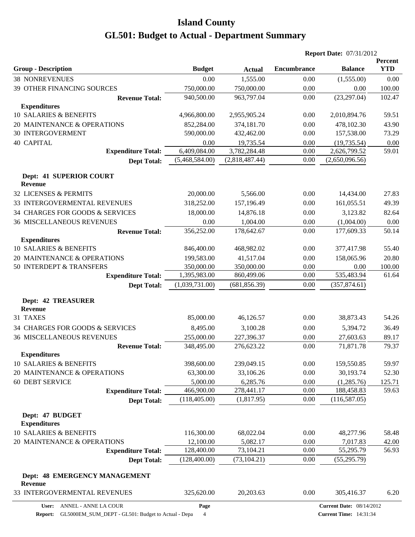|                                                                          |                          |                          | <b>Report Date: 07/31/2012</b> |                                 |                              |
|--------------------------------------------------------------------------|--------------------------|--------------------------|--------------------------------|---------------------------------|------------------------------|
| <b>Group - Description</b>                                               | <b>Budget</b>            | <b>Actual</b>            | <b>Encumbrance</b>             | <b>Balance</b>                  | <b>Percent</b><br><b>YTD</b> |
| <b>38 NONREVENUES</b>                                                    | 0.00                     | 1,555.00                 | 0.00                           | (1,555.00)                      | 0.00                         |
| 39 OTHER FINANCING SOURCES                                               | 750,000.00               | 750,000.00               | 0.00                           | 0.00                            | 100.00                       |
| <b>Revenue Total:</b>                                                    | 940,500.00               | 963,797.04               | 0.00                           | (23, 297.04)                    | 102.47                       |
| <b>Expenditures</b>                                                      |                          |                          |                                |                                 |                              |
| 10 SALARIES & BENEFITS                                                   | 4,966,800.00             | 2,955,905.24             | 0.00                           | 2,010,894.76                    | 59.51                        |
| 20 MAINTENANCE & OPERATIONS                                              | 852,284.00               | 374,181.70               | 0.00                           | 478,102.30                      | 43.90                        |
| <b>30 INTERGOVERMENT</b>                                                 | 590,000.00               | 432,462.00               | 0.00                           | 157,538.00                      | 73.29                        |
| <b>40 CAPITAL</b>                                                        | 0.00                     | 19,735.54                | 0.00                           | (19, 735.54)                    | 0.00                         |
| <b>Expenditure Total:</b>                                                | 6,409,084.00             | 3,782,284.48             | 0.00                           | 2,626,799.52                    | 59.01                        |
| <b>Dept Total:</b>                                                       | (5,468,584.00)           | (2,818,487.44)           | 0.00                           | (2,650,096.56)                  |                              |
| Dept: 41 SUPERIOR COURT<br><b>Revenue</b>                                |                          |                          |                                |                                 |                              |
| 32 LICENSES & PERMITS                                                    | 20,000.00                | 5,566.00                 | 0.00                           | 14,434.00                       | 27.83                        |
| 33 INTERGOVERMENTAL REVENUES                                             | 318,252.00               | 157,196.49               | 0.00                           | 161,055.51                      | 49.39                        |
| 34 CHARGES FOR GOODS & SERVICES                                          | 18,000.00                | 14,876.18                | 0.00                           | 3,123.82                        | 82.64                        |
| <b>36 MISCELLANEOUS REVENUES</b>                                         | 0.00                     | 1,004.00                 | 0.00                           | (1,004.00)                      | 0.00                         |
| <b>Revenue Total:</b>                                                    | 356,252.00               | 178,642.67               | 0.00                           | 177,609.33                      | 50.14                        |
| <b>Expenditures</b>                                                      |                          |                          |                                |                                 |                              |
| 10 SALARIES & BENEFITS                                                   | 846,400.00               | 468,982.02               | 0.00                           | 377,417.98                      | 55.40                        |
| 20 MAINTENANCE & OPERATIONS                                              | 199,583.00               | 41,517.04                | 0.00                           | 158,065.96                      | 20.80                        |
| 50 INTERDEPT & TRANSFERS                                                 | 350,000.00               | 350,000.00               | 0.00                           | 0.00                            | 100.00                       |
| <b>Expenditure Total:</b>                                                | 1,395,983.00             | 860,499.06               | 0.00                           | 535,483.94                      | 61.64                        |
| <b>Dept Total:</b>                                                       | (1,039,731.00)           | (681, 856.39)            | 0.00                           | (357, 874.61)                   |                              |
| <b>Dept: 42 TREASURER</b><br>Revenue                                     |                          |                          |                                |                                 |                              |
| 31 TAXES                                                                 | 85,000.00                | 46,126.57                | 0.00                           | 38,873.43                       | 54.26                        |
| 34 CHARGES FOR GOODS & SERVICES                                          |                          |                          | 0.00                           | 5,394.72                        | 36.49                        |
|                                                                          | 8,495.00                 | 3,100.28                 |                                |                                 |                              |
| <b>36 MISCELLANEOUS REVENUES</b><br><b>Revenue Total:</b>                | 255,000.00<br>348,495.00 | 227,396.37<br>276,623.22 | 0.00<br>0.00                   | 27,603.63<br>71,871.78          | 89.17<br>79.37               |
| <b>Expenditures</b>                                                      |                          |                          |                                |                                 |                              |
| 10 SALARIES & BENEFITS                                                   | 398,600.00               | 239,049.15               | 0.00                           | 159,550.85                      | 59.97                        |
| 20 MAINTENANCE & OPERATIONS                                              | 63,300.00                | 33,106.26                | 0.00                           | 30,193.74                       | 52.30                        |
| <b>60 DEBT SERVICE</b>                                                   | 5,000.00                 | 6,285.76                 | 0.00                           | (1,285.76)                      | 125.71                       |
| <b>Expenditure Total:</b>                                                | 466,900.00               | 278,441.17               | 0.00                           | 188,458.83                      | 59.63                        |
| <b>Dept Total:</b>                                                       | (118, 405.00)            | (1,817.95)               | 0.00                           | (116, 587.05)                   |                              |
| Dept: 47 BUDGET<br><b>Expenditures</b>                                   |                          |                          |                                |                                 |                              |
| 10 SALARIES & BENEFITS                                                   | 116,300.00               | 68,022.04                | 0.00                           | 48,277.96                       | 58.48                        |
| 20 MAINTENANCE & OPERATIONS                                              | 12,100.00                | 5,082.17                 | 0.00                           | 7,017.83                        | 42.00                        |
| <b>Expenditure Total:</b>                                                | 128,400.00               | 73,104.21                | 0.00                           | 55,295.79                       | 56.93                        |
| <b>Dept Total:</b>                                                       | (128,400.00)             | (73, 104.21)             | 0.00                           | (55, 295.79)                    |                              |
| Dept: 48 EMERGENCY MANAGEMENT<br>Revenue<br>33 INTERGOVERMENTAL REVENUES | 325,620.00               | 20,203.63                | 0.00                           | 305,416.37                      | 6.20                         |
| User: ANNEL - ANNE LA COUR                                               | Page                     |                          |                                | <b>Current Date: 08/14/2012</b> |                              |
|                                                                          |                          |                          |                                |                                 |                              |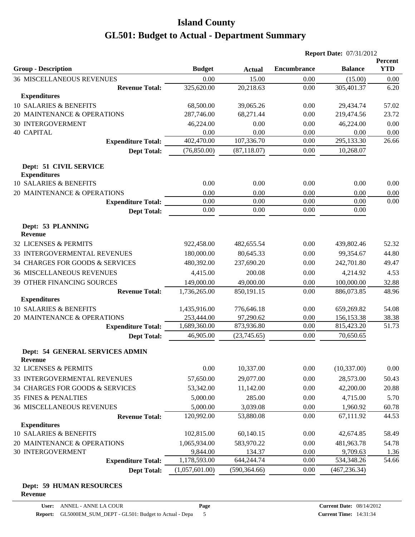|                                                           |                    |                    | <b>Report Date: 07/31/2012</b> |                       |                       |
|-----------------------------------------------------------|--------------------|--------------------|--------------------------------|-----------------------|-----------------------|
|                                                           |                    |                    | <b>Encumbrance</b>             |                       | Percent<br><b>YTD</b> |
| <b>Group - Description</b>                                | <b>Budget</b>      | <b>Actual</b>      |                                | <b>Balance</b>        |                       |
| <b>36 MISCELLANEOUS REVENUES</b><br><b>Revenue Total:</b> | 0.00<br>325,620.00 | 15.00<br>20,218.63 | 0.00<br>0.00                   | (15.00)<br>305,401.37 | 0.00<br>6.20          |
| <b>Expenditures</b>                                       |                    |                    |                                |                       |                       |
| 10 SALARIES & BENEFITS                                    | 68,500.00          | 39,065.26          | 0.00                           | 29,434.74             | 57.02                 |
| 20 MAINTENANCE & OPERATIONS                               | 287,746.00         | 68,271.44          | 0.00                           | 219,474.56            | 23.72                 |
| <b>30 INTERGOVERMENT</b>                                  | 46,224.00          | 0.00               | 0.00                           | 46,224.00             | 0.00                  |
| <b>40 CAPITAL</b>                                         | 0.00               | 0.00               | 0.00                           | 0.00                  | 0.00                  |
| <b>Expenditure Total:</b>                                 | 402,470.00         | 107,336.70         | 0.00                           | 295,133.30            | 26.66                 |
| <b>Dept Total:</b>                                        | (76,850.00)        | (87, 118.07)       | 0.00                           | 10,268.07             |                       |
| Dept: 51 CIVIL SERVICE                                    |                    |                    |                                |                       |                       |
| <b>Expenditures</b>                                       |                    |                    |                                |                       |                       |
| 10 SALARIES & BENEFITS                                    | 0.00               | 0.00               | 0.00                           | 0.00                  | 0.00                  |
| 20 MAINTENANCE & OPERATIONS                               | 0.00<br>0.00       | 0.00<br>0.00       | 0.00<br>0.00                   | 0.00                  | 0.00<br>0.00          |
| <b>Expenditure Total:</b>                                 | 0.00               | 0.00               | 0.00                           | 0.00<br>0.00          |                       |
| <b>Dept Total:</b>                                        |                    |                    |                                |                       |                       |
| Dept: 53 PLANNING<br>Revenue                              |                    |                    |                                |                       |                       |
| 32 LICENSES & PERMITS                                     | 922,458.00         | 482,655.54         | 0.00                           | 439,802.46            | 52.32                 |
| 33 INTERGOVERMENTAL REVENUES                              | 180,000.00         | 80,645.33          | 0.00                           | 99,354.67             | 44.80                 |
| 34 CHARGES FOR GOODS & SERVICES                           | 480,392.00         | 237,690.20         | 0.00                           | 242,701.80            | 49.47                 |
| <b>36 MISCELLANEOUS REVENUES</b>                          | 4,415.00           | 200.08             | 0.00                           | 4,214.92              | 4.53                  |
| 39 OTHER FINANCING SOURCES                                | 149,000.00         | 49,000.00          | 0.00                           | 100,000.00            | 32.88                 |
| <b>Revenue Total:</b>                                     | 1,736,265.00       | 850,191.15         | 0.00                           | 886,073.85            | 48.96                 |
| <b>Expenditures</b>                                       |                    |                    |                                |                       |                       |
| 10 SALARIES & BENEFITS                                    | 1,435,916.00       | 776,646.18         | 0.00                           | 659,269.82            | 54.08                 |
| 20 MAINTENANCE & OPERATIONS                               | 253,444.00         | 97,290.62          | 0.00                           | 156,153.38            | 38.38                 |
| <b>Expenditure Total:</b>                                 | 1,689,360.00       | 873,936.80         | 0.00                           | 815,423.20            | 51.73                 |
| <b>Dept Total:</b>                                        | 46,905.00          | (23,745.65)        | 0.00                           | 70,650.65             |                       |
| Dept: 54 GENERAL SERVICES ADMIN<br><b>Revenue</b>         |                    |                    |                                |                       |                       |
| 32 LICENSES & PERMITS                                     | 0.00               | 10,337.00          | 0.00                           | (10, 337.00)          | 0.00                  |
| 33 INTERGOVERMENTAL REVENUES                              | 57,650.00          | 29,077.00          | 0.00                           | 28,573.00             | 50.43                 |
| 34 CHARGES FOR GOODS & SERVICES                           | 53,342.00          | 11,142.00          | 0.00                           | 42,200.00             | 20.88                 |
| 35 FINES & PENALTIES                                      | 5,000.00           | 285.00             | 0.00                           | 4,715.00              | 5.70                  |
| <b>36 MISCELLANEOUS REVENUES</b>                          | 5,000.00           | 3,039.08           | 0.00                           | 1,960.92              | 60.78                 |
| <b>Revenue Total:</b>                                     | 120,992.00         | 53,880.08          | 0.00                           | 67,111.92             | 44.53                 |
| <b>Expenditures</b>                                       |                    |                    |                                |                       |                       |
| 10 SALARIES & BENEFITS                                    | 102,815.00         | 60,140.15          | 0.00                           | 42,674.85             | 58.49                 |
| 20 MAINTENANCE & OPERATIONS                               | 1,065,934.00       | 583,970.22         | 0.00                           | 481,963.78            | 54.78                 |
| <b>30 INTERGOVERMENT</b>                                  | 9,844.00           | 134.37             | 0.00                           | 9,709.63              | <u>1.36</u>           |
| <b>Expenditure Total:</b>                                 | 1,178,593.00       | 644,244.74         | 0.00                           | 534,348.26            | 54.66                 |
| <b>Dept Total:</b>                                        | (1,057,601.00)     | (590, 364.66)      | 0.00                           | (467, 236.34)         |                       |

#### **Dept: 59 HUMAN RESOURCES Revenue**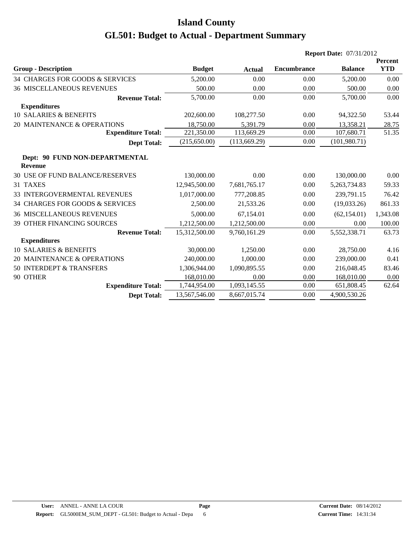|                                                  |               |               | <b>Report Date: 07/31/2012</b> |                |                              |
|--------------------------------------------------|---------------|---------------|--------------------------------|----------------|------------------------------|
| <b>Group - Description</b>                       | <b>Budget</b> | <b>Actual</b> | <b>Encumbrance</b>             | <b>Balance</b> | <b>Percent</b><br><b>YTD</b> |
| 34 CHARGES FOR GOODS & SERVICES                  | 5,200.00      | 0.00          | 0.00                           | 5,200.00       | 0.00                         |
| <b>36 MISCELLANEOUS REVENUES</b>                 | 500.00        | 0.00          | 0.00                           | 500.00         | 0.00                         |
| <b>Revenue Total:</b>                            | 5,700.00      | 0.00          | 0.00                           | 5,700.00       | 0.00                         |
| <b>Expenditures</b>                              |               |               |                                |                |                              |
| 10 SALARIES & BENEFITS                           | 202,600.00    | 108,277.50    | 0.00                           | 94,322.50      | 53.44                        |
| 20 MAINTENANCE & OPERATIONS                      | 18,750.00     | 5,391.79      | 0.00                           | 13,358.21      | 28.75                        |
| <b>Expenditure Total:</b>                        | 221,350.00    | 113,669.29    | 0.00                           | 107,680.71     | 51.35                        |
| <b>Dept Total:</b>                               | (215,650.00)  | (113, 669.29) | 0.00                           | (101, 980.71)  |                              |
| Dept: 90 FUND NON-DEPARTMENTAL<br><b>Revenue</b> |               |               |                                |                |                              |
| <b>30 USE OF FUND BALANCE/RESERVES</b>           | 130,000.00    | 0.00          | 0.00                           | 130,000.00     | 0.00                         |
| 31 TAXES                                         | 12,945,500.00 | 7,681,765.17  | 0.00                           | 5,263,734.83   | 59.33                        |
| 33 INTERGOVERMENTAL REVENUES                     | 1,017,000.00  | 777,208.85    | 0.00                           | 239,791.15     | 76.42                        |
| 34 CHARGES FOR GOODS & SERVICES                  | 2,500.00      | 21,533.26     | 0.00                           | (19,033.26)    | 861.33                       |
| <b>36 MISCELLANEOUS REVENUES</b>                 | 5,000.00      | 67.154.01     | 0.00                           | (62, 154.01)   | 1,343.08                     |
| <b>39 OTHER FINANCING SOURCES</b>                | 1,212,500.00  | 1,212,500.00  | 0.00                           | 0.00           | 100.00                       |
| <b>Revenue Total:</b>                            | 15,312,500.00 | 9,760,161.29  | 0.00                           | 5,552,338.71   | 63.73                        |
| <b>Expenditures</b>                              |               |               |                                |                |                              |
| 10 SALARIES & BENEFITS                           | 30,000.00     | 1,250.00      | 0.00                           | 28,750.00      | 4.16                         |
| 20 MAINTENANCE & OPERATIONS                      | 240,000.00    | 1,000.00      | 0.00                           | 239,000.00     | 0.41                         |
| 50 INTERDEPT & TRANSFERS                         | 1,306,944.00  | 1,090,895.55  | 0.00                           | 216,048.45     | 83.46                        |
| 90 OTHER                                         | 168,010.00    | 0.00          | 0.00                           | 168,010.00     | 0.00                         |
| <b>Expenditure Total:</b>                        | 1,744,954.00  | 1,093,145.55  | 0.00                           | 651,808.45     | 62.64                        |
| <b>Dept Total:</b>                               | 13,567,546.00 | 8,667,015.74  | 0.00                           | 4,900,530.26   |                              |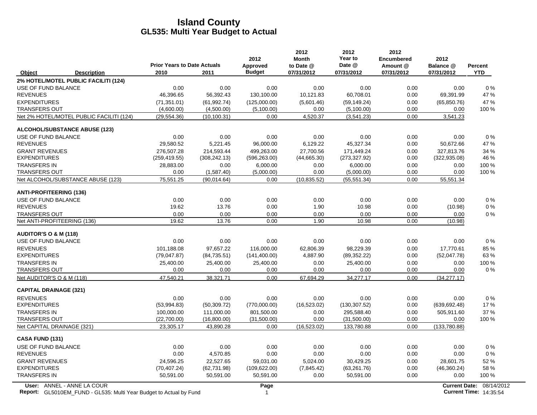|                                  |                                                                                                  |                                            |               | 2012                      | 2012<br><b>Month</b>    | 2012<br>Year to      | 2012<br><b>Encumbered</b> | 2012                    |                                                           |
|----------------------------------|--------------------------------------------------------------------------------------------------|--------------------------------------------|---------------|---------------------------|-------------------------|----------------------|---------------------------|-------------------------|-----------------------------------------------------------|
| Object                           | <b>Description</b>                                                                               | <b>Prior Years to Date Actuals</b><br>2010 | 2011          | Approved<br><b>Budget</b> | to Date @<br>07/31/2012 | Date @<br>07/31/2012 | Amount @<br>07/31/2012    | Balance @<br>07/31/2012 | Percent<br><b>YTD</b>                                     |
|                                  | 2% HOTEL/MOTEL PUBLIC FACILITI (124)                                                             |                                            |               |                           |                         |                      |                           |                         |                                                           |
| USE OF FUND BALANCE              |                                                                                                  | 0.00                                       | 0.00          | 0.00                      | 0.00                    | 0.00                 | 0.00                      | 0.00                    | $0\%$                                                     |
| <b>REVENUES</b>                  |                                                                                                  | 46,396.65                                  | 56,392.43     | 130,100.00                | 10,121.83               | 60,708.01            | 0.00                      | 69,391.99               | 47 %                                                      |
| <b>EXPENDITURES</b>              |                                                                                                  | (71, 351.01)                               | (61, 992.74)  | (125,000.00)              | (5,601.46)              | (59, 149.24)         | 0.00                      | (65, 850.76)            | 47 %                                                      |
| <b>TRANSFERS OUT</b>             |                                                                                                  | (4,600.00)                                 | (4,500.00)    | (5,100.00)                | 0.00                    | (5,100.00)           | 0.00                      | 0.00                    | 100 %                                                     |
|                                  | Net 2% HOTEL/MOTEL PUBLIC FACILITI (124)                                                         | (29, 554.36)                               | (10, 100.31)  | 0.00                      | 4,520.37                | (3,541.23)           | 0.00                      | 3,541.23                |                                                           |
|                                  | <b>ALCOHOL/SUBSTANCE ABUSE (123)</b>                                                             |                                            |               |                           |                         |                      |                           |                         |                                                           |
| USE OF FUND BALANCE              |                                                                                                  | 0.00                                       | 0.00          | 0.00                      | 0.00                    | 0.00                 | 0.00                      | 0.00                    | 0%                                                        |
| <b>REVENUES</b>                  |                                                                                                  | 29,580.52                                  | 5,221.45      | 96,000.00                 | 6,129.22                | 45,327.34            | 0.00                      | 50,672.66               | 47 %                                                      |
| <b>GRANT REVENUES</b>            |                                                                                                  | 276.507.28                                 | 214,593.44    | 499.263.00                | 27,700.56               | 171,449.24           | 0.00                      | 327,813.76              | 34 %                                                      |
| <b>EXPENDITURES</b>              |                                                                                                  | (259, 419.55)                              | (308, 242.13) | (596, 263.00)             | (44,665.30)             | (273, 327.92)        | 0.00                      | (322, 935.08)           | 46 %                                                      |
| <b>TRANSFERS IN</b>              |                                                                                                  | 28,883.00                                  | 0.00          | 6,000.00                  | 0.00                    | 6,000.00             | 0.00                      | 0.00                    | 100 %                                                     |
| <b>TRANSFERS OUT</b>             |                                                                                                  | 0.00                                       | (1,587.40)    | (5,000.00)                | 0.00                    | (5,000.00)           | 0.00                      | 0.00                    | 100 %                                                     |
|                                  | Net ALCOHOL/SUBSTANCE ABUSE (123)                                                                | 75,551.25                                  | (90,014.64)   | 0.00                      | (10.835.52)             | (55, 551.34)         | 0.00                      | 55,551.34               |                                                           |
| <b>ANTI-PROFITEERING (136)</b>   |                                                                                                  |                                            |               |                           |                         |                      |                           |                         |                                                           |
| USE OF FUND BALANCE              |                                                                                                  | 0.00                                       | 0.00          | 0.00                      | 0.00                    | 0.00                 | 0.00                      | 0.00                    | 0%                                                        |
| <b>REVENUES</b>                  |                                                                                                  | 19.62                                      | 13.76         | 0.00                      | 1.90                    | 10.98                | 0.00                      | (10.98)                 | 0%                                                        |
| <b>TRANSFERS OUT</b>             |                                                                                                  | 0.00                                       | 0.00          | 0.00                      | 0.00                    | 0.00                 | 0.00                      | 0.00                    | 0%                                                        |
| Net ANTI-PROFITEERING (136)      |                                                                                                  | 19.62                                      | 13.76         | 0.00                      | 1.90                    | 10.98                | 0.00                      | (10.98)                 |                                                           |
| <b>AUDITOR'S O &amp; M (118)</b> |                                                                                                  |                                            |               |                           |                         |                      |                           |                         |                                                           |
| USE OF FUND BALANCE              |                                                                                                  | 0.00                                       | 0.00          | 0.00                      | 0.00                    | 0.00                 | 0.00                      | 0.00                    | 0%                                                        |
| <b>REVENUES</b>                  |                                                                                                  | 101,188.08                                 | 97,657.22     | 116,000.00                | 62,806.39               | 98,229.39            | 0.00                      | 17,770.61               | 85 %                                                      |
| <b>EXPENDITURES</b>              |                                                                                                  | (79,047.87)                                | (84, 735.51)  | (141, 400.00)             | 4,887.90                | (89, 352.22)         | 0.00                      | (52,047.78)             | 63%                                                       |
| <b>TRANSFERS IN</b>              |                                                                                                  | 25,400.00                                  | 25,400.00     | 25,400.00                 | 0.00                    | 25,400.00            | 0.00                      | 0.00                    | 100%                                                      |
| <b>TRANSFERS OUT</b>             |                                                                                                  | 0.00                                       | 0.00          | 0.00                      | 0.00                    | 0.00                 | 0.00                      | 0.00                    | $0\%$                                                     |
| Net AUDITOR'S O & M (118)        |                                                                                                  | 47.540.21                                  | 38.321.71     | 0.00                      | 67.694.29               | 34.277.17            | 0.00                      | (34.277.17)             |                                                           |
| <b>CAPITAL DRAINAGE (321)</b>    |                                                                                                  |                                            |               |                           |                         |                      |                           |                         |                                                           |
| <b>REVENUES</b>                  |                                                                                                  | 0.00                                       | 0.00          | 0.00                      | 0.00                    | 0.00                 | 0.00                      | 0.00                    | $0\%$                                                     |
| <b>EXPENDITURES</b>              |                                                                                                  | (53,994.83)                                | (50, 309.72)  | (770,000.00)              | (16, 523.02)            | (130, 307.52)        | 0.00                      | (639, 692.48)           | 17%                                                       |
| <b>TRANSFERS IN</b>              |                                                                                                  | 100,000.00                                 | 111,000.00    | 801,500.00                | 0.00                    | 295,588.40           | 0.00                      | 505,911.60              | 37 %                                                      |
| <b>TRANSFERS OUT</b>             |                                                                                                  | (22,700.00)                                | (16,800.00)   | (31,500.00)               | 0.00                    | (31,500.00)          | 0.00                      | 0.00                    | 100 %                                                     |
| Net CAPITAL DRAINAGE (321)       |                                                                                                  | 23,305.17                                  | 43,890.28     | 0.00                      | (16, 523.02)            | 133,780.88           | 0.00                      | (133,780.88)            |                                                           |
| <b>CASA FUND (131)</b>           |                                                                                                  |                                            |               |                           |                         |                      |                           |                         |                                                           |
| USE OF FUND BALANCE              |                                                                                                  | 0.00                                       | 0.00          | 0.00                      | 0.00                    | 0.00                 | 0.00                      | 0.00                    | $0\%$                                                     |
| <b>REVENUES</b>                  |                                                                                                  | 0.00                                       | 4,570.85      | 0.00                      | 0.00                    | 0.00                 | 0.00                      | 0.00                    | 0%                                                        |
| <b>GRANT REVENUES</b>            |                                                                                                  | 24,596.25                                  | 22,527.65     | 59,031.00                 | 5,024.00                | 30,429.25            | 0.00                      | 28,601.75               | 52 %                                                      |
| <b>EXPENDITURES</b>              |                                                                                                  | (70, 407.24)                               | (62, 731.98)  | (109, 622.00)             | (7,845.42)              | (63, 261.76)         | 0.00                      | (46, 360.24)            | 58 %                                                      |
| <b>TRANSFERS IN</b>              |                                                                                                  | 50,591.00                                  | 50,591.00     | 50,591.00                 | 0.00                    | 50,591.00            | 0.00                      | 0.00                    | 100 %                                                     |
|                                  | User: ANNEL - ANNE LA COUR<br>Report: GL5010EM_FUND - GL535: Multi Year Budget to Actual by Fund |                                            |               | Page<br>$\mathbf{1}$      |                         |                      |                           |                         | Current Date: 08/14/2012<br><b>Current Time: 14:35:54</b> |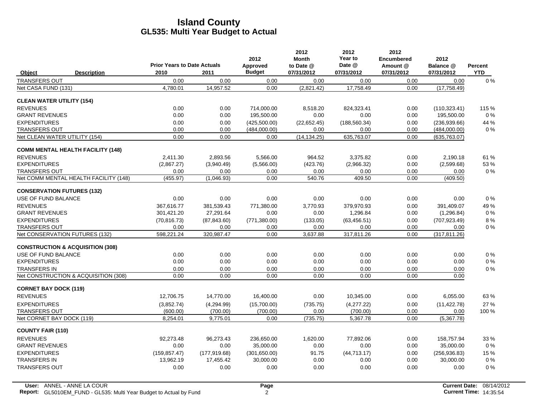|                                   |                                             | <b>Prior Years to Date Actuals</b> |               | 2012<br>Approved | 2012<br><b>Month</b><br>to Date @ | 2012<br>Year to<br>Date @ | 2012<br><b>Encumbered</b><br>Amount @ | 2012<br>Balance @ | Percent    |
|-----------------------------------|---------------------------------------------|------------------------------------|---------------|------------------|-----------------------------------|---------------------------|---------------------------------------|-------------------|------------|
| Object                            | <b>Description</b>                          | 2010                               | 2011          | <b>Budget</b>    | 07/31/2012                        | 07/31/2012                | 07/31/2012                            | 07/31/2012        | <b>YTD</b> |
| <b>TRANSFERS OUT</b>              |                                             | 0.00                               | 0.00          | 0.00             | 0.00                              | 0.00                      | 0.00                                  | 0.00              | $0\%$      |
| Net CASA FUND (131)               |                                             | 4,780.01                           | 14,957.52     | 0.00             | (2,821.42)                        | 17,758.49                 | 0.00                                  | (17, 758.49)      |            |
| <b>CLEAN WATER UTILITY (154)</b>  |                                             |                                    |               |                  |                                   |                           |                                       |                   |            |
| <b>REVENUES</b>                   |                                             | 0.00                               | 0.00          | 714,000.00       | 8,518.20                          | 824.323.41                | 0.00                                  | (110, 323.41)     | 115 %      |
| <b>GRANT REVENUES</b>             |                                             | 0.00                               | 0.00          | 195,500.00       | 0.00                              | 0.00                      | 0.00                                  | 195,500.00        | $0\%$      |
| <b>EXPENDITURES</b>               |                                             | 0.00                               | 0.00          | (425,500.00)     | (22,652.45)                       | (188, 560.34)             | 0.00                                  | (236, 939.66)     | 44 %       |
| <b>TRANSFERS OUT</b>              |                                             | 0.00                               | 0.00          | (484,000.00)     | 0.00                              | 0.00                      | 0.00                                  | (484,000.00)      | $0\%$      |
| Net CLEAN WATER UTILITY (154)     |                                             | 0.00                               | 0.00          | 0.00             | (14, 134.25)                      | 635,763.07                | 0.00                                  | (635, 763.07)     |            |
|                                   | <b>COMM MENTAL HEALTH FACILITY (148)</b>    |                                    |               |                  |                                   |                           |                                       |                   |            |
| <b>REVENUES</b>                   |                                             | 2.411.30                           | 2.893.56      | 5,566.00         | 964.52                            | 3,375.82                  | 0.00                                  | 2,190.18          | 61 %       |
| <b>EXPENDITURES</b>               |                                             | (2,867.27)                         | (3,940.49)    | (5,566.00)       | (423.76)                          | (2,966.32)                | 0.00                                  | (2,599.68)        | 53 %       |
| <b>TRANSFERS OUT</b>              |                                             | 0.00                               | 0.00          | 0.00             | 0.00                              | 0.00                      | 0.00                                  | 0.00              | $0\%$      |
|                                   | Net COMM MENTAL HEALTH FACILITY (148)       | (455.97)                           | (1,046.93)    | 0.00             | 540.76                            | 409.50                    | 0.00                                  | (409.50)          |            |
| <b>CONSERVATION FUTURES (132)</b> |                                             |                                    |               |                  |                                   |                           |                                       |                   |            |
| USE OF FUND BALANCE               |                                             | 0.00                               | 0.00          | 0.00             | 0.00                              | 0.00                      | 0.00                                  | 0.00              | $0\%$      |
| <b>REVENUES</b>                   |                                             | 367.616.77                         | 381.539.43    | 771,380.00       | 3.770.93                          | 379.970.93                | 0.00                                  | 391.409.07        | 49%        |
| <b>GRANT REVENUES</b>             |                                             | 301,421.20                         | 27,291.64     | 0.00             | 0.00                              | 1,296.84                  | 0.00                                  | (1,296.84)        | $0\%$      |
| <b>EXPENDITURES</b>               |                                             | (70, 816.73)                       | (87, 843.60)  | (771, 380.00)    | (133.05)                          | (63, 456.51)              | 0.00                                  | (707, 923.49)     | 8%         |
| <b>TRANSFERS OUT</b>              |                                             | 0.00                               | 0.00          | 0.00             | 0.00                              | 0.00                      | 0.00                                  | 0.00              | $0\%$      |
| Net CONSERVATION FUTURES (132)    |                                             | 598,221.24                         | 320,987.47    | 0.00             | 3,637.88                          | 317,811.26                | 0.00                                  | (317, 811.26)     |            |
|                                   | <b>CONSTRUCTION &amp; ACQUISITION (308)</b> |                                    |               |                  |                                   |                           |                                       |                   |            |
| USE OF FUND BALANCE               |                                             | 0.00                               | 0.00          | 0.00             | 0.00                              | 0.00                      | 0.00                                  | 0.00              | $0\%$      |
| <b>EXPENDITURES</b>               |                                             | 0.00                               | 0.00          | 0.00             | 0.00                              | 0.00                      | 0.00                                  | 0.00              | $0\%$      |
| <b>TRANSFERS IN</b>               |                                             | 0.00                               | 0.00          | 0.00             | 0.00                              | 0.00                      | 0.00                                  | 0.00              | $0\%$      |
|                                   | Net CONSTRUCTION & ACQUISITION (308)        | 0.00                               | 0.00          | 0.00             | 0.00                              | 0.00                      | 0.00                                  | 0.00              |            |
| <b>CORNET BAY DOCK (119)</b>      |                                             |                                    |               |                  |                                   |                           |                                       |                   |            |
| <b>REVENUES</b>                   |                                             | 12.706.75                          | 14,770.00     | 16,400.00        | 0.00                              | 10,345.00                 | 0.00                                  | 6.055.00          | 63%        |
| <b>EXPENDITURES</b>               |                                             | (3,852.74)                         | (4,294.99)    | (15,700.00)      | (735.75)                          | (4,277.22)                | 0.00                                  | (11, 422.78)      | 27 %       |
| <b>TRANSFERS OUT</b>              |                                             | (600.00)                           | (700.00)      | (700.00)         | 0.00                              | (700.00)                  | 0.00                                  | 0.00              | 100 %      |
| Net CORNET BAY DOCK (119)         |                                             | 8,254.01                           | 9,775.01      | 0.00             | (735.75)                          | 5,367.78                  | 0.00                                  | (5,367.78)        |            |
| <b>COUNTY FAIR (110)</b>          |                                             |                                    |               |                  |                                   |                           |                                       |                   |            |
| <b>REVENUES</b>                   |                                             | 92,273.48                          | 96,273.43     | 236,650.00       | 1,620.00                          | 77,892.06                 | 0.00                                  | 158,757.94        | 33 %       |
| <b>GRANT REVENUES</b>             |                                             | 0.00                               | 0.00          | 35,000.00        | 0.00                              | 0.00                      | 0.00                                  | 35,000.00         | 0%         |
| <b>EXPENDITURES</b>               |                                             | (159, 857.47)                      | (177, 919.68) | (301,650.00)     | 91.75                             | (44, 713.17)              | 0.00                                  | (256, 936.83)     | 15 %       |
| <b>TRANSFERS IN</b>               |                                             | 13,962.19                          | 17,455.42     | 30,000.00        | 0.00                              | 0.00                      | 0.00                                  | 30,000.00         | 0%         |
| <b>TRANSFERS OUT</b>              |                                             | 0.00                               | 0.00          | 0.00             | 0.00                              | 0.00                      | 0.00                                  | 0.00              | 0%         |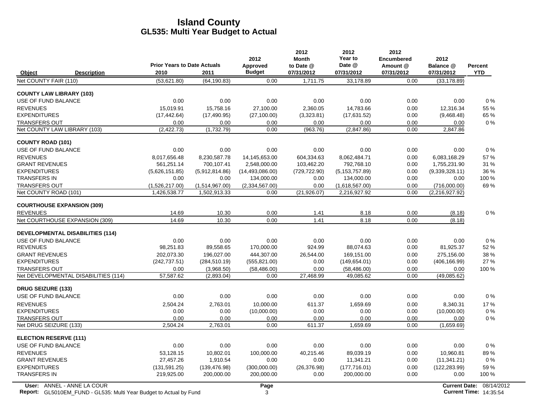|                                         |                                    |                | 2012              | 2012<br><b>Month</b> | 2012<br>Year to  | 2012<br><b>Encumbered</b> | 2012           |                |
|-----------------------------------------|------------------------------------|----------------|-------------------|----------------------|------------------|---------------------------|----------------|----------------|
|                                         | <b>Prior Years to Date Actuals</b> |                | Approved          | to Date @            | Date @           | Amount @                  | Balance @      | <b>Percent</b> |
| Object<br><b>Description</b>            | 2010                               | 2011           | <b>Budget</b>     | 07/31/2012           | 07/31/2012       | 07/31/2012                | 07/31/2012     | <b>YTD</b>     |
| Net COUNTY FAIR (110)                   | (53,621.80)                        | (64, 190.83)   | 0.00              | 1.711.75             | 33.178.89        | 0.00                      | (33, 178.89)   |                |
| <b>COUNTY LAW LIBRARY (103)</b>         |                                    |                |                   |                      |                  |                           |                |                |
| USE OF FUND BALANCE                     | 0.00                               | 0.00           | 0.00              | 0.00                 | 0.00             | 0.00                      | 0.00           | 0%             |
| <b>REVENUES</b>                         | 15.019.91                          | 15.758.16      | 27.100.00         | 2.360.05             | 14.783.66        | 0.00                      | 12,316.34      | 55 %           |
| <b>EXPENDITURES</b>                     | (17, 442.64)                       | (17, 490.95)   | (27, 100.00)      | (3,323.81)           | (17,631.52)      | 0.00                      | (9,468.48)     | 65 %           |
| <b>TRANSFERS OUT</b>                    | 0.00                               | 0.00           | 0.00              | 0.00                 | 0.00             | 0.00                      | 0.00           | $0\%$          |
| Net COUNTY LAW LIBRARY (103)            | (2, 422.73)                        | (1,732.79)     | 0.00              | (963.76)             | (2,847.86)       | 0.00                      | 2,847.86       |                |
| <b>COUNTY ROAD (101)</b>                |                                    |                |                   |                      |                  |                           |                |                |
| USE OF FUND BALANCE                     | 0.00                               | 0.00           | 0.00              | 0.00                 | 0.00             | 0.00                      | 0.00           | 0%             |
| <b>REVENUES</b>                         | 8,017,656.48                       | 8,230,587.78   | 14,145,653.00     | 604,334.63           | 8,062,484.71     | 0.00                      | 6,083,168.29   | 57%            |
| <b>GRANT REVENUES</b>                   | 561,251.14                         | 700,107.41     | 2,548,000.00      | 103,462.20           | 792,768.10       | 0.00                      | 1,755,231.90   | 31 %           |
| <b>EXPENDITURES</b>                     | (5,626,151.85)                     | (5,912,814.86) | (14, 493, 086.00) | (729, 722.90)        | (5, 153, 757.89) | 0.00                      | (9,339,328.11) | 36 %           |
| <b>TRANSFERS IN</b>                     | 0.00                               | 0.00           | 134,000.00        | 0.00                 | 134,000.00       | 0.00                      | 0.00           | 100 %          |
| <b>TRANSFERS OUT</b>                    | (1,526,217.00)                     | (1,514,967.00) | (2,334,567.00)    | 0.00                 | (1,618,567.00)   | 0.00                      | (716,000.00)   | 69%            |
| Net COUNTY ROAD (101)                   | 1,426,538.77                       | 1,502,913.33   | 0.00              | (21, 926.07)         | 2,216,927.92     | 0.00                      | (2,216,927.92) |                |
| <b>COURTHOUSE EXPANSION (309)</b>       |                                    |                |                   |                      |                  |                           |                |                |
| <b>REVENUES</b>                         | 14.69                              | 10.30          | 0.00              | 1.41                 | 8.18             | 0.00                      | (8.18)         | $0\%$          |
| Net COURTHOUSE EXPANSION (309)          | 14.69                              | 10.30          | 0.00              | 1.41                 | 8.18             | 0.00                      | (8.18)         |                |
| <b>DEVELOPMENTAL DISABILITIES (114)</b> |                                    |                |                   |                      |                  |                           |                |                |
| USE OF FUND BALANCE                     | 0.00                               | 0.00           | 0.00              | 0.00                 | 0.00             | 0.00                      | 0.00           | $0\%$          |
| <b>REVENUES</b>                         | 98,251.83                          | 89,558.65      | 170,000.00        | 924.99               | 88,074.63        | 0.00                      | 81,925.37      | 52 %           |
| <b>GRANT REVENUES</b>                   | 202.073.30                         | 196.027.00     | 444.307.00        | 26,544.00            | 169.151.00       | 0.00                      | 275.156.00     | 38 %           |
| <b>EXPENDITURES</b>                     | (242, 737.51)                      | (284, 510.19)  | (555, 821.00)     | 0.00                 | (149, 654.01)    | 0.00                      | (406, 166.99)  | 27 %           |
| <b>TRANSFERS OUT</b>                    | 0.00                               | (3,968.50)     | (58, 486.00)      | 0.00                 | (58, 486.00)     | 0.00                      | 0.00           | 100 %          |
| Net DEVELOPMENTAL DISABILITIES (114)    | 57,587.62                          | (2,893.04)     | 0.00              | 27,468.99            | 49,085.62        | 0.00                      | (49,085.62)    |                |
| <b>DRUG SEIZURE (133)</b>               |                                    |                |                   |                      |                  |                           |                |                |
| USE OF FUND BALANCE                     | 0.00                               | 0.00           | 0.00              | 0.00                 | 0.00             | 0.00                      | 0.00           | 0%             |
| <b>REVENUES</b>                         | 2,504.24                           | 2,763.01       | 10,000.00         | 611.37               | 1,659.69         | 0.00                      | 8,340.31       | 17%            |
| <b>EXPENDITURES</b>                     | 0.00                               | 0.00           | (10,000.00)       | 0.00                 | 0.00             | 0.00                      | (10,000.00)    | $0\%$          |
| <b>TRANSFERS OUT</b>                    | 0.00                               | 0.00           | 0.00              | 0.00                 | 0.00             | 0.00                      | 0.00           | 0%             |
| Net DRUG SEIZURE (133)                  | 2,504.24                           | 2,763.01       | 0.00              | 611.37               | 1,659.69         | 0.00                      | (1,659.69)     |                |
| <b>ELECTION RESERVE (111)</b>           |                                    |                |                   |                      |                  |                           |                |                |
| USE OF FUND BALANCE                     | 0.00                               | 0.00           | 0.00              | 0.00                 | 0.00             | 0.00                      | 0.00           | $0\%$          |
| <b>REVENUES</b>                         | 53,128.15                          | 10,802.01      | 100,000.00        | 40,215.46            | 89,039.19        | 0.00                      | 10,960.81      | 89%            |
| <b>GRANT REVENUES</b>                   | 27,457.26                          | 1,910.54       | 0.00              | 0.00                 | 11,341.21        | 0.00                      | (11, 341.21)   | $0\%$          |
| <b>EXPENDITURES</b>                     | (131, 591.25)                      | (139, 476.98)  | (300,000.00)      | (26, 376.98)         | (177, 716.01)    | 0.00                      | (122, 283.99)  | 59%            |
| <b>TRANSFERS IN</b>                     | 219,925.00                         | 200,000.00     | 200,000.00        | 0.00                 | 200,000.00       | 0.00                      | 0.00           | 100 %          |
|                                         |                                    |                |                   |                      |                  |                           |                |                |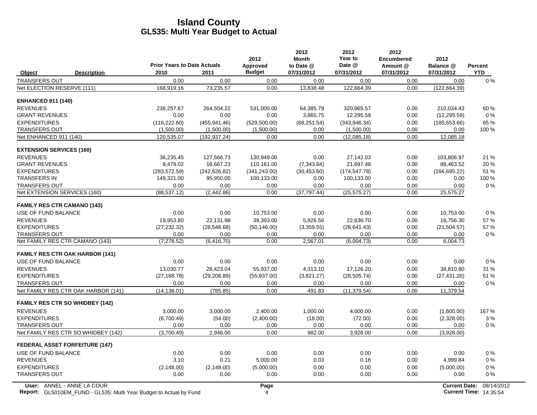|                                    |                                        | <b>Prior Years to Date Actuals</b> |               | 2012<br>Approved | 2012<br><b>Month</b><br>to Date @ | 2012<br>Year to<br>Date @ | 2012<br><b>Encumbered</b><br>Amount @ | 2012<br>Balance @    | Percent    |
|------------------------------------|----------------------------------------|------------------------------------|---------------|------------------|-----------------------------------|---------------------------|---------------------------------------|----------------------|------------|
| Object                             | <b>Description</b>                     | 2010                               | 2011          | <b>Budget</b>    | 07/31/2012                        | 07/31/2012                | 07/31/2012                            | 07/31/2012           | <b>YTD</b> |
| <b>TRANSFERS OUT</b>               |                                        | 0.00                               | 0.00          | 0.00             | 0.00                              | 0.00                      | 0.00                                  | 0.00                 | $0\%$      |
| Net ELECTION RESERVE (111)         |                                        | 168,919.16                         | 73,235.57     | 0.00             | 13,838.48                         | 122,664.39                | 0.00                                  | (122, 664.39)        |            |
| <b>ENHANCED 911 (140)</b>          |                                        |                                    |               |                  |                                   |                           |                                       |                      |            |
| <b>REVENUES</b>                    |                                        | 238,257.67                         | 264,504.22    | 531,000.00       | 64,385.79                         | 320,965.57                | 0.00                                  | 210.034.43           | 60%        |
| <b>GRANT REVENUES</b>              |                                        | 0.00                               | 0.00          | 0.00             | 3,865.75                          | 12,295.59                 | 0.00                                  | (12, 295.59)         | $0\%$      |
| <b>EXPENDITURES</b>                |                                        | (116, 222.60)                      | (455, 941.46) | (529, 500.00)    | (68, 251.54)                      | (343.846.34)              | 0.00                                  | (185, 653.66)        | 65 %       |
| <b>TRANSFERS OUT</b>               |                                        | (1,500.00)                         | (1,500.00)    | (1,500.00)       | 0.00                              | (1,500.00)                | 0.00                                  | 0.00                 | $100\%$    |
| Net ENHANCED 911 (140)             |                                        | 120,535.07                         | (192, 937.24) | 0.00             | 0.00                              | (12,085.18)               | 0.00                                  | 12,085.18            |            |
| <b>EXTENSION SERVICES (160)</b>    |                                        |                                    |               |                  |                                   |                           |                                       |                      |            |
| <b>REVENUES</b>                    |                                        | 36,235.45                          | 127,566.73    | 130,949.00       | 0.00                              | 27,142.03                 | 0.00                                  | 103,806.97           | 21 %       |
| <b>GRANT REVENUES</b>              |                                        | 9,479.02                           | 16,667.23     | 110,161.00       | (7,343.84)                        | 21,697.48                 | 0.00                                  | 88,463.52            | 20 %       |
| <b>EXPENDITURES</b>                |                                        | (283, 572.59)                      | (242, 626.82) | (341, 243.00)    | (30, 453.60)                      | (174, 547.78)             | 0.00                                  | (166, 695.22)        | 51 %       |
| <b>TRANSFERS IN</b>                |                                        | 149,321.00                         | 95,950.00     | 100,133.00       | 0.00                              | 100,133.00                | 0.00                                  | 0.00                 | 100 %      |
| <b>TRANSFERS OUT</b>               |                                        | 0.00                               | 0.00          | 0.00             | 0.00                              | 0.00                      | 0.00                                  | 0.00                 | $0\%$      |
| Net EXTENSION SERVICES (160)       |                                        | (88, 537.12)                       | (2, 442.86)   | 0.00             | (37, 797.44)                      | (25, 575.27)              | 0.00                                  | 25,575.27            |            |
| <b>FAMILY RES CTR CAMANO (143)</b> |                                        |                                    |               |                  |                                   |                           |                                       |                      |            |
| USE OF FUND BALANCE                |                                        | 0.00                               | 0.00          | 10,753.00        | 0.00                              | 0.00                      | 0.00                                  | 10,753.00            | $0\%$      |
| <b>REVENUES</b>                    |                                        | 19,953.80                          | 22,131.98     | 39,393.00        | 5,926.56                          | 22,636.70                 | 0.00                                  | 16,756.30            | 57 %       |
| <b>EXPENDITURES</b>                |                                        | (27, 232.32)                       | (28, 548.68)  | (50, 146.00)     | (3,359.55)                        | (28, 641.43)              | 0.00                                  | (21, 504.57)         | 57 %       |
| <b>TRANSFERS OUT</b>               |                                        | 0.00                               | 0.00          | 0.00             | 0.00                              | 0.00                      | 0.00                                  | 0.00                 | $0\%$      |
|                                    | Net FAMILY RES CTR CAMANO (143)        | (7, 278.52)                        | (6, 416.70)   | 0.00             | 2,567.01                          | (6,004.73)                | 0.00                                  | 6,004.73             |            |
|                                    | <b>FAMILY RES CTR OAK HARBOR (141)</b> |                                    |               |                  |                                   |                           |                                       |                      |            |
| USE OF FUND BALANCE                |                                        | 0.00                               | 0.00          | 0.00             | 0.00                              | 0.00                      | 0.00                                  | 0.00                 | $0\%$      |
| <b>REVENUES</b>                    |                                        | 13.030.77                          | 28.423.04     | 55.937.00        | 4.313.10                          | 17.126.20                 | 0.00                                  | 38.810.80            | 31 %       |
| <b>EXPENDITURES</b>                |                                        | (27, 168.78)                       | (29, 208.89)  | (55, 937.00)     | (3,821.27)                        | (28, 505.74)              | 0.00                                  | (27, 431.26)         | 51 %       |
| <b>TRANSFERS OUT</b>               |                                        | 0.00                               | 0.00          | 0.00             | 0.00                              | 0.00                      | 0.00                                  | 0.00                 | $0\%$      |
|                                    | Net FAMILY RES CTR OAK HARBOR (141)    | (14, 138.01)                       | (785.85)      | 0.00             | 491.83                            | (11, 379.54)              | 0.00                                  | 11,379.54            |            |
|                                    | <b>FAMILY RES CTR SO WHIDBEY (142)</b> |                                    |               |                  |                                   |                           |                                       |                      |            |
| <b>REVENUES</b>                    |                                        | 3,000.00                           | 3,000.00      | 2,400.00         | 1,000.00                          | 4,000.00                  | 0.00                                  | (1,600.00)           | 167 %      |
| <b>EXPENDITURES</b>                |                                        | (6,700.49)                         | (54.00)       | (2,400.00)       | (18.00)                           | (72.00)                   | 0.00                                  | (2,328.00)           | 3%         |
| <b>TRANSFERS OUT</b>               |                                        | 0.00                               | 0.00          | 0.00             | 0.00                              | 0.00                      | 0.00                                  | 0.00                 | $0\%$      |
|                                    | Net FAMILY RES CTR SO WHIDBEY (142)    | (3,700.49)                         | 2,946.00      | 0.00             | 982.00                            | 3,928.00                  | 0.00                                  | (3,928.00)           |            |
|                                    | <b>FEDERAL ASSET FORFEITURE (147)</b>  |                                    |               |                  |                                   |                           |                                       |                      |            |
| USE OF FUND BALANCE                |                                        | 0.00                               | 0.00          | 0.00             | 0.00                              | 0.00                      | 0.00                                  | 0.00                 | $0\%$      |
| <b>REVENUES</b>                    |                                        | 3.10                               | 0.21          | 5,000.00         | 0.03                              | 0.16                      | 0.00                                  | 4,999.84             | $0\%$      |
| <b>EXPENDITURES</b>                |                                        | (2, 148.00)                        | (2, 148.00)   | (5,000.00)       | 0.00                              | 0.00                      | 0.00                                  | (5,000.00)           | $0\%$      |
| <b>TRANSFERS OUT</b>               |                                        | 0.00                               | 0.00          | 0.00             | 0.00                              | 0.00                      | 0.00                                  | 0.00                 | $0\%$      |
|                                    | User: ANNEL - ANNE LA COUR             |                                    |               | Page             |                                   |                           |                                       | <b>Current Date:</b> | 08/14/2    |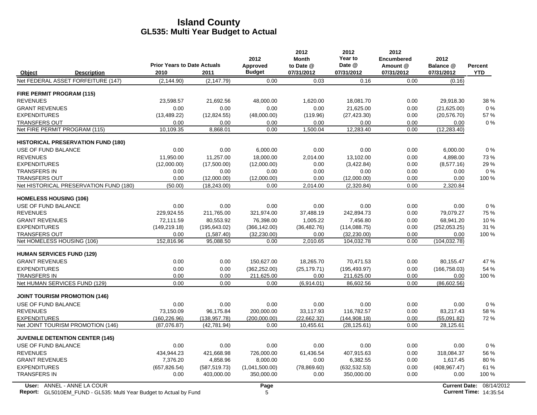|                                  |                                                                           | <b>Prior Years to Date Actuals</b> |               | 2012<br>Approved | 2012<br><b>Month</b><br>to Date @ | 2012<br>Year to<br>Date @ | 2012<br><b>Encumbered</b><br>Amount @ | 2012<br>Balance @ | <b>Percent</b>                |
|----------------------------------|---------------------------------------------------------------------------|------------------------------------|---------------|------------------|-----------------------------------|---------------------------|---------------------------------------|-------------------|-------------------------------|
| Object                           | <b>Description</b>                                                        | 2010                               | 2011          | <b>Budget</b>    | 07/31/2012                        | 07/31/2012                | 07/31/2012                            | 07/31/2012        | <b>YTD</b>                    |
|                                  | Net FEDERAL ASSET FORFEITURE (147)                                        | (2, 144.90)                        | (2, 147.79)   | 0.00             | 0.03                              | 0.16                      | 0.00                                  | (0.16)            |                               |
| <b>FIRE PERMIT PROGRAM (115)</b> |                                                                           |                                    |               |                  |                                   |                           |                                       |                   |                               |
| <b>REVENUES</b>                  |                                                                           | 23,598.57                          | 21,692.56     | 48,000.00        | 1,620.00                          | 18,081.70                 | 0.00                                  | 29,918.30         | 38 %                          |
| <b>GRANT REVENUES</b>            |                                                                           | 0.00                               | 0.00          | 0.00             | 0.00                              | 21,625.00                 | 0.00                                  | (21,625.00)       | $0\%$                         |
| <b>EXPENDITURES</b>              |                                                                           | (13, 489.22)                       | (12, 824.55)  | (48,000.00)      | (119.96)                          | (27, 423.30)              | 0.00                                  | (20, 576.70)      | 57%                           |
| <b>TRANSFERS OUT</b>             |                                                                           | 0.00                               | 0.00          | 0.00             | 0.00                              | 0.00                      | 0.00                                  | 0.00              | 0%                            |
|                                  | Net FIRE PERMIT PROGRAM (115)                                             | 10,109.35                          | 8,868.01      | 0.00             | 1,500.04                          | 12,283.40                 | 0.00                                  | (12, 283.40)      |                               |
|                                  | <b>HISTORICAL PRESERVATION FUND (180)</b>                                 |                                    |               |                  |                                   |                           |                                       |                   |                               |
| USE OF FUND BALANCE              |                                                                           | 0.00                               | 0.00          | 6,000.00         | 0.00                              | 0.00                      | 0.00                                  | 6,000.00          | 0%                            |
| <b>REVENUES</b>                  |                                                                           | 11,950.00                          | 11,257.00     | 18,000.00        | 2,014.00                          | 13,102.00                 | 0.00                                  | 4,898.00          | 73%                           |
| <b>EXPENDITURES</b>              |                                                                           | (12,000.00)                        | (17,500.00)   | (12,000.00)      | 0.00                              | (3,422.84)                | 0.00                                  | (8,577.16)        | 29 %                          |
| <b>TRANSFERS IN</b>              |                                                                           | 0.00                               | 0.00          | 0.00             | 0.00                              | 0.00                      | 0.00                                  | 0.00              | $0\%$                         |
| <b>TRANSFERS OUT</b>             |                                                                           | 0.00                               | (12,000.00)   | (12,000.00)      | 0.00                              | (12,000.00)               | 0.00                                  | 0.00              | 100 %                         |
|                                  | Net HISTORICAL PRESERVATION FUND (180)                                    | (50.00)                            | (18, 243.00)  | 0.00             | 2,014.00                          | (2,320.84)                | 0.00                                  | 2,320.84          |                               |
| <b>HOMELESS HOUSING (106)</b>    |                                                                           |                                    |               |                  |                                   |                           |                                       |                   |                               |
| USE OF FUND BALANCE              |                                                                           | 0.00                               | 0.00          | 0.00             | 0.00                              | 0.00                      | 0.00                                  | 0.00              | 0%                            |
| <b>REVENUES</b>                  |                                                                           | 229,924.55                         | 211,765.00    | 321,974.00       | 37,488.19                         | 242,894.73                | 0.00                                  | 79,079.27         | 75 %                          |
| <b>GRANT REVENUES</b>            |                                                                           | 72,111.59                          | 80,553.92     | 76,398.00        | 1,005.22                          | 7,456.80                  | 0.00                                  | 68,941.20         | 10 %                          |
| <b>EXPENDITURES</b>              |                                                                           | (149, 219.18)                      | (195, 643.02) | (366, 142.00)    | (36, 482.76)                      | (114, 088.75)             | 0.00                                  | (252,053.25)      | 31 %                          |
| <b>TRANSFERS OUT</b>             |                                                                           | 0.00                               | (1,587.40)    | (32, 230.00)     | 0.00                              | (32, 230.00)              | 0.00                                  | 0.00              | 100 %                         |
| Net HOMELESS HOUSING (106)       |                                                                           | 152,816.96                         | 95,088.50     | 0.00             | 2,010.65                          | 104,032.78                | 0.00                                  | (104, 032.78)     |                               |
| <b>HUMAN SERVICES FUND (129)</b> |                                                                           |                                    |               |                  |                                   |                           |                                       |                   |                               |
| <b>GRANT REVENUES</b>            |                                                                           | 0.00                               | 0.00          | 150,627.00       | 18,265.70                         | 70,471.53                 | 0.00                                  | 80,155.47         | 47 %                          |
| <b>EXPENDITURES</b>              |                                                                           | 0.00                               | 0.00          | (362, 252.00)    | (25, 179.71)                      | (195, 493.97)             | 0.00                                  | (166, 758.03)     | 54 %                          |
| <b>TRANSFERS IN</b>              |                                                                           | 0.00                               | 0.00          | 211,625.00       | 0.00                              | 211,625.00                | 0.00                                  | 0.00              | 100 %                         |
|                                  | Net HUMAN SERVICES FUND (129)                                             | 0.00                               | 0.00          | 0.00             | (6,914.01)                        | 86,602.56                 | 0.00                                  | (86,602.56)       |                               |
|                                  | <b>JOINT TOURISM PROMOTION (146)</b>                                      |                                    |               |                  |                                   |                           |                                       |                   |                               |
| USE OF FUND BALANCE              |                                                                           | 0.00                               | 0.00          | 0.00             | 0.00                              | 0.00                      | 0.00                                  | 0.00              | 0%                            |
| <b>REVENUES</b>                  |                                                                           | 73.150.09                          | 96.175.84     | 200.000.00       | 33.117.93                         | 116.782.57                | 0.00                                  | 83,217.43         | 58%                           |
| <b>EXPENDITURES</b>              |                                                                           | (160, 226.96)                      | (138, 957.78) | (200,000.00)     | (22,662.32)                       | (144, 908.18)             | 0.00                                  | (55,091.82)       | 72%                           |
|                                  | Net JOINT TOURISM PROMOTION (146)                                         | (87,076.87)                        | (42, 781.94)  | 0.00             | 10,455.61                         | (28, 125.61)              | 0.00                                  | 28,125.61         |                               |
|                                  | <b>JUVENILE DETENTION CENTER (145)</b>                                    |                                    |               |                  |                                   |                           |                                       |                   |                               |
| USE OF FUND BALANCE              |                                                                           | 0.00                               | 0.00          | 0.00             | 0.00                              | 0.00                      | 0.00                                  | 0.00              | 0%                            |
| <b>REVENUES</b>                  |                                                                           | 434,944.23                         | 421.668.98    | 726,000.00       | 61.436.54                         | 407,915.63                | 0.00                                  | 318.084.37        | 56 %                          |
| <b>GRANT REVENUES</b>            |                                                                           | 7,376.20                           | 4,858.96      | 8.000.00         | 0.00                              | 6,382.55                  | 0.00                                  | 1,617.45          | 80%                           |
| <b>EXPENDITURES</b>              |                                                                           | (657, 826.54)                      | (587, 519.73) | (1,041,500.00)   | (78, 869.60)                      | (632, 532.53)             | 0.00                                  | (408, 967.47)     | 61 %                          |
| <b>TRANSFERS IN</b>              |                                                                           | 0.00                               | 403,000.00    | 350,000.00       | 0.00                              | 350,000.00                | 0.00                                  | 0.00              | 100 %                         |
|                                  | User: ANNEL - ANNE LA COUR                                                |                                    |               | Page             |                                   |                           |                                       |                   | Current Date: 08/14/2012      |
|                                  | <b>Report:</b> GL5010EM_FUND - GL535: Multi Year Budget to Actual by Fund |                                    |               | 5                |                                   |                           |                                       |                   | <b>Current Time: 14:35:54</b> |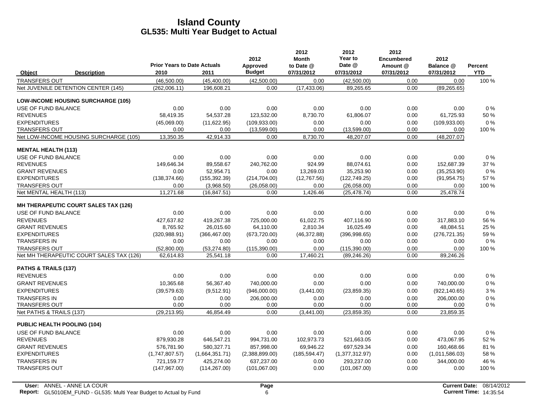|                                           | <b>Prior Years to Date Actuals</b> |                | 2012<br>Approved | 2012<br><b>Month</b><br>to Date @ | 2012<br>Year to<br>Date @ | 2012<br><b>Encumbered</b><br>Amount @ | 2012<br>Balance @ | Percent    |
|-------------------------------------------|------------------------------------|----------------|------------------|-----------------------------------|---------------------------|---------------------------------------|-------------------|------------|
| <b>Description</b><br>Object              | 2010                               | 2011           | <b>Budget</b>    | 07/31/2012                        | 07/31/2012                | 07/31/2012                            | 07/31/2012        | <b>YTD</b> |
| <b>TRANSFERS OUT</b>                      | (46,500.00)                        | (45, 400.00)   | (42,500.00)      | 0.00                              | (42,500.00)               | 0.00                                  | 0.00              | 100 %      |
| Net JUVENILE DETENTION CENTER (145)       | (262,006.11)                       | 196,608.21     | 0.00             | (17, 433.06)                      | 89,265.65                 | 0.00                                  | (89, 265.65)      |            |
| <b>LOW-INCOME HOUSING SURCHARGE (105)</b> |                                    |                |                  |                                   |                           |                                       |                   |            |
| USE OF FUND BALANCE                       | 0.00                               | 0.00           | 0.00             | 0.00                              | 0.00                      | 0.00                                  | 0.00              | 0%         |
| <b>REVENUES</b>                           | 58,419.35                          | 54,537.28      | 123,532.00       | 8,730.70                          | 61,806.07                 | 0.00                                  | 61,725.93         | 50 %       |
| <b>EXPENDITURES</b>                       | (45,069.00)                        | (11,622.95)    | (109.933.00)     | 0.00                              | 0.00                      | 0.00                                  | (109.933.00)      | 0%         |
| <b>TRANSFERS OUT</b>                      | 0.00                               | 0.00           | (13,599.00)      | 0.00                              | (13,599.00)               | 0.00                                  | 0.00              | 100 %      |
| Net LOW-INCOME HOUSING SURCHARGE (105)    | 13,350.35                          | 42,914.33      | 0.00             | 8,730.70                          | 48,207.07                 | 0.00                                  | (48, 207.07)      |            |
| <b>MENTAL HEALTH (113)</b>                |                                    |                |                  |                                   |                           |                                       |                   |            |
| USE OF FUND BALANCE                       | 0.00                               | 0.00           | 0.00             | 0.00                              | 0.00                      | 0.00                                  | 0.00              | 0%         |
| <b>REVENUES</b>                           | 149,646.34                         | 89,558.67      | 240,762.00       | 924.99                            | 88,074.61                 | 0.00                                  | 152,687.39        | 37 %       |
| <b>GRANT REVENUES</b>                     | 0.00                               | 52,954.71      | 0.00             | 13,269.03                         | 35,253.90                 | 0.00                                  | (35, 253.90)      | 0%         |
| <b>EXPENDITURES</b>                       | (138, 374.66)                      | (155, 392.39)  | (214, 704.00)    | (12,767.56)                       | (122, 749.25)             | 0.00                                  | (91, 954.75)      | 57 %       |
| <b>TRANSFERS OUT</b>                      | 0.00                               | (3,968.50)     | (26,058.00)      | 0.00                              | (26,058.00)               | 0.00                                  | 0.00              | 100 %      |
| Net MENTAL HEALTH (113)                   | 11,271.68                          | (16, 847.51)   | 0.00             | 1,426.46                          | (25, 478.74)              | 0.00                                  | 25,478.74         |            |
| MH THERAPEUTIC COURT SALES TAX (126)      |                                    |                |                  |                                   |                           |                                       |                   |            |
| USE OF FUND BALANCE                       | 0.00                               | 0.00           | 0.00             | 0.00                              | 0.00                      | 0.00                                  | 0.00              | 0%         |
| <b>REVENUES</b>                           | 427.637.82                         | 419.267.38     | 725.000.00       | 61.022.75                         | 407.116.90                | 0.00                                  | 317.883.10        | 56 %       |
| <b>GRANT REVENUES</b>                     | 8,765.92                           | 26,015.60      | 64,110.00        | 2,810.34                          | 16,025.49                 | 0.00                                  | 48,084.51         | 25 %       |
| <b>EXPENDITURES</b>                       | (320, 988.91)                      | (366, 467.00)  | (673, 720.00)    | (46, 372.88)                      | (396,998.65)              | 0.00                                  | (276, 721.35)     | 59%        |
| <b>TRANSFERS IN</b>                       | 0.00                               | 0.00           | 0.00             | 0.00                              | 0.00                      | 0.00                                  | 0.00              | 0%         |
| <b>TRANSFERS OUT</b>                      | (52,800.00)                        | (53, 274.80)   | (115, 390.00)    | 0.00                              | (115, 390.00)             | 0.00                                  | 0.00              | 100 %      |
| Net MH THERAPEUTIC COURT SALES TAX (126)  | 62,614.83                          | 25,541.18      | 0.00             | 17,460.21                         | (89, 246.26)              | 0.00                                  | 89,246.26         |            |
| PATHS & TRAILS (137)                      |                                    |                |                  |                                   |                           |                                       |                   |            |
| <b>REVENUES</b>                           | 0.00                               | 0.00           | 0.00             | 0.00                              | 0.00                      | 0.00                                  | 0.00              | 0%         |
| <b>GRANT REVENUES</b>                     | 10,365.68                          | 56,367.40      | 740,000.00       | 0.00                              | 0.00                      | 0.00                                  | 740,000.00        | 0%         |
| <b>EXPENDITURES</b>                       | (39, 579.63)                       | (9,512.91)     | (946,000.00)     | (3,441.00)                        | (23, 859.35)              | 0.00                                  | (922, 140.65)     | 3%         |
| <b>TRANSFERS IN</b>                       | 0.00                               | 0.00           | 206,000.00       | 0.00                              | 0.00                      | 0.00                                  | 206,000.00        | 0%         |
| <b>TRANSFERS OUT</b>                      | 0.00                               | 0.00           | 0.00             | 0.00                              | 0.00                      | 0.00                                  | 0.00              | 0%         |
| Net PATHS & TRAILS (137)                  | (29, 213.95)                       | 46,854.49      | 0.00             | (3,441.00)                        | (23, 859.35)              | 0.00                                  | 23,859.35         |            |
| <b>PUBLIC HEALTH POOLING (104)</b>        |                                    |                |                  |                                   |                           |                                       |                   |            |
| USE OF FUND BALANCE                       | 0.00                               | 0.00           | 0.00             | 0.00                              | 0.00                      | 0.00                                  | 0.00              | 0%         |
| <b>REVENUES</b>                           | 879,930.28                         | 646,547.21     | 994,731.00       | 102,973.73                        | 521,663.05                | 0.00                                  | 473,067.95        | 52 %       |
| <b>GRANT REVENUES</b>                     | 576.781.90                         | 580,327.71     | 857,998.00       | 69,946.22                         | 697,529.34                | 0.00                                  | 160,468.66        | 81%        |
| <b>EXPENDITURES</b>                       | (1,747,807.57)                     | (1,664,351.71) | (2,388,899.00)   | (185, 594.47)                     | (1,377,312.97)            | 0.00                                  | (1,011,586.03)    | 58 %       |
| <b>TRANSFERS IN</b>                       | 721.159.77                         | 425,274.00     | 637,237.00       | 0.00                              | 293.237.00                | 0.00                                  | 344.000.00        | 46 %       |
| <b>TRANSFERS OUT</b>                      | (147, 967.00)                      | (114, 267.00)  | (101,067.00)     | 0.00                              | (101,067.00)              | 0.00                                  | 0.00              | 100 %      |
|                                           |                                    |                |                  |                                   |                           |                                       |                   |            |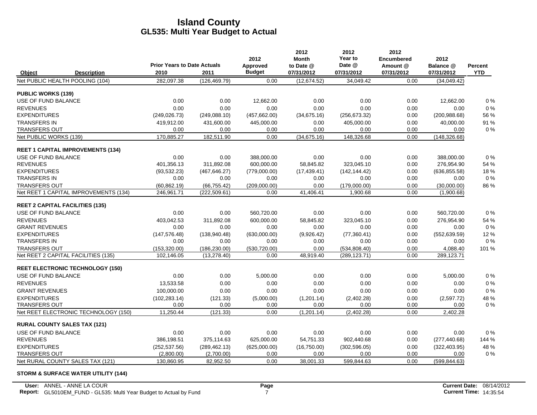|                           |                                          |                                            |               | 2012                      | 2012<br><b>Month</b>    | 2012<br>Year to      | 2012<br><b>Encumbered</b> | 2012                    |                              |
|---------------------------|------------------------------------------|--------------------------------------------|---------------|---------------------------|-------------------------|----------------------|---------------------------|-------------------------|------------------------------|
| Object                    | <b>Description</b>                       | <b>Prior Years to Date Actuals</b><br>2010 | 2011          | Approved<br><b>Budget</b> | to Date @<br>07/31/2012 | Date @<br>07/31/2012 | Amount @<br>07/31/2012    | Balance @<br>07/31/2012 | <b>Percent</b><br><b>YTD</b> |
|                           | Net PUBLIC HEALTH POOLING (104)          | 282,097.38                                 | (126, 469.79) | 0.00                      | (12, 674.52)            | 34,049.42            | 0.00                      | (34,049.42)             |                              |
| <b>PUBLIC WORKS (139)</b> |                                          |                                            |               |                           |                         |                      |                           |                         |                              |
| USE OF FUND BALANCE       |                                          | 0.00                                       | 0.00          | 12,662.00                 | 0.00                    | 0.00                 | 0.00                      | 12,662.00               | 0%                           |
| <b>REVENUES</b>           |                                          | 0.00                                       | 0.00          | 0.00                      | 0.00                    | 0.00                 | 0.00                      | 0.00                    | 0%                           |
| <b>EXPENDITURES</b>       |                                          | (249, 026.73)                              | (249, 088.10) | (457, 662.00)             | (34,675.16)             | (256, 673.32)        | 0.00                      | (200, 988.68)           | 56 %                         |
| <b>TRANSFERS IN</b>       |                                          | 419,912.00                                 | 431,600.00    | 445,000.00                | 0.00                    | 405,000.00           | 0.00                      | 40,000.00               | 91 %                         |
| TRANSFERS OUT             |                                          | 0.00                                       | 0.00          | 0.00                      | 0.00                    | 0.00                 | 0.00                      | 0.00                    | $0\%$                        |
| Net PUBLIC WORKS (139)    |                                          | 170,885.27                                 | 182,511.90    | 0.00                      | (34,675.16)             | 148,326.68           | 0.00                      | (148, 326.68)           |                              |
|                           | <b>REET 1 CAPITAL IMPROVEMENTS (134)</b> |                                            |               |                           |                         |                      |                           |                         |                              |
| USE OF FUND BALANCE       |                                          | 0.00                                       | 0.00          | 388,000.00                | 0.00                    | 0.00                 | 0.00                      | 388,000.00              | 0%                           |
| <b>REVENUES</b>           |                                          | 401.356.13                                 | 311,892.08    | 600,000.00                | 58,845.82               | 323,045.10           | 0.00                      | 276,954.90              | 54 %                         |
| <b>EXPENDITURES</b>       |                                          | (93, 532.23)                               | (467, 646.27) | (779,000.00)              | (17, 439.41)            | (142, 144.42)        | 0.00                      | (636, 855.58)           | 18%                          |
| <b>TRANSFERS IN</b>       |                                          | 0.00                                       | 0.00          | 0.00                      | 0.00                    | 0.00                 | 0.00                      | 0.00                    | $0\%$                        |
| <b>TRANSFERS OUT</b>      |                                          | (60, 862.19)                               | (66, 755.42)  | (209,000.00)              | 0.00                    | (179,000.00)         | 0.00                      | (30,000.00)             | 86 %                         |
|                           | Net REET 1 CAPITAL IMPROVEMENTS (134)    | 246,961.71                                 | (222, 509.61) | 0.00                      | 41,406.41               | 1,900.68             | 0.00                      | (1,900.68)              |                              |
|                           | <b>REET 2 CAPITAL FACILITIES (135)</b>   |                                            |               |                           |                         |                      |                           |                         |                              |
| USE OF FUND BALANCE       |                                          | 0.00                                       | 0.00          | 560,720.00                | 0.00                    | 0.00                 | 0.00                      | 560,720.00              | 0%                           |
| <b>REVENUES</b>           |                                          | 403,042.53                                 | 311,892.08    | 600,000.00                | 58,845.82               | 323.045.10           | 0.00                      | 276,954.90              | 54 %                         |
| <b>GRANT REVENUES</b>     |                                          | 0.00                                       | 0.00          | 0.00                      | 0.00                    | 0.00                 | 0.00                      | 0.00                    | $0\%$                        |
| <b>EXPENDITURES</b>       |                                          | (147, 576.48)                              | (138,940.48)  | (630,000.00)              | (9,926.42)              | (77, 360.41)         | 0.00                      | (552, 639.59)           | 12%                          |
| <b>TRANSFERS IN</b>       |                                          | 0.00                                       | 0.00          | 0.00                      | 0.00                    | 0.00                 | 0.00                      | 0.00                    | $0\%$                        |
| <b>TRANSFERS OUT</b>      |                                          | (153, 320.00)                              | (186, 230.00) | (530, 720.00)             | 0.00                    | (534, 808.40)        | 0.00                      | 4,088.40                | 101%                         |
|                           | Net REET 2 CAPITAL FACILITIES (135)      | 102,146.05                                 | (13, 278.40)  | 0.00                      | 48,919.40               | (289, 123.71)        | 0.00                      | 289,123.71              |                              |
|                           | <b>REET ELECTRONIC TECHNOLOGY (150)</b>  |                                            |               |                           |                         |                      |                           |                         |                              |
| USE OF FUND BALANCE       |                                          | 0.00                                       | 0.00          | 5,000.00                  | 0.00                    | 0.00                 | 0.00                      | 5,000.00                | 0%                           |
| <b>REVENUES</b>           |                                          | 13,533.58                                  | 0.00          | 0.00                      | 0.00                    | 0.00                 | 0.00                      | 0.00                    | 0%                           |
| <b>GRANT REVENUES</b>     |                                          | 100,000.00                                 | 0.00          | 0.00                      | 0.00                    | 0.00                 | 0.00                      | 0.00                    | 0%                           |
| <b>EXPENDITURES</b>       |                                          | (102, 283.14)                              | (121.33)      | (5,000.00)                | (1,201.14)              | (2,402.28)           | 0.00                      | (2,597.72)              | 48 %                         |
| <b>TRANSFERS OUT</b>      |                                          | 0.00                                       | 0.00          | 0.00                      | 0.00                    | 0.00                 | 0.00                      | 0.00                    | $0\%$                        |
|                           | Net REET ELECTRONIC TECHNOLOGY (150)     | 11,250.44                                  | (121.33)      | 0.00                      | (1,201.14)              | (2,402.28)           | 0.00                      | 2,402.28                |                              |
|                           | <b>RURAL COUNTY SALES TAX (121)</b>      |                                            |               |                           |                         |                      |                           |                         |                              |
| USE OF FUND BALANCE       |                                          | 0.00                                       | 0.00          | 0.00                      | 0.00                    | 0.00                 | 0.00                      | 0.00                    | $0\%$                        |
| <b>REVENUES</b>           |                                          | 386,198.51                                 | 375,114.63    | 625,000.00                | 54,751.33               | 902,440.68           | 0.00                      | (277, 440.68)           | 144 %                        |
| <b>EXPENDITURES</b>       |                                          | (252, 537.56)                              | (289, 462.13) | (625,000.00)              | (16,750.00)             | (302, 596.05)        | 0.00                      | (322, 403.95)           | 48 %                         |
| <b>TRANSFERS OUT</b>      |                                          | (2,800.00)                                 | (2,700.00)    | 0.00                      | 0.00                    | 0.00                 | 0.00                      | 0.00                    | 0%                           |
|                           | Net RURAL COUNTY SALES TAX (121)         | 130,860.95                                 | 82,952.50     | 0.00                      | 38.001.33               | 599,844.63           | 0.00                      | (599, 844.63)           |                              |

#### **STORM & SURFACE WATER UTILITY (144)**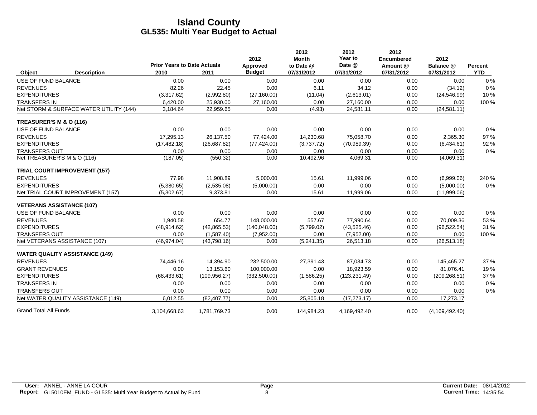|                                  |                                         | <b>Prior Years to Date Actuals</b> |               | 2012                      | 2012<br><b>Month</b>    | 2012<br>Year to<br>Date @ | 2012<br><b>Encumbered</b> | 2012                    |                       |
|----------------------------------|-----------------------------------------|------------------------------------|---------------|---------------------------|-------------------------|---------------------------|---------------------------|-------------------------|-----------------------|
| Object                           | <b>Description</b>                      | 2010                               | 2011          | Approved<br><b>Budget</b> | to Date @<br>07/31/2012 | 07/31/2012                | Amount @<br>07/31/2012    | Balance @<br>07/31/2012 | Percent<br><b>YTD</b> |
| <b>USE OF FUND BALANCE</b>       |                                         | 0.00                               | 0.00          | 0.00                      | 0.00                    | 0.00                      | 0.00                      | 0.00                    | 0%                    |
| <b>REVENUES</b>                  |                                         | 82.26                              | 22.45         | 0.00                      | 6.11                    | 34.12                     | 0.00                      | (34.12)                 | 0%                    |
| <b>EXPENDITURES</b>              |                                         | (3,317.62)                         | (2,992.80)    | (27, 160.00)              | (11.04)                 | (2,613.01)                | 0.00                      | (24, 546.99)            | 10%                   |
| <b>TRANSFERS IN</b>              |                                         | 6,420.00                           | 25,930.00     | 27,160.00                 | 0.00                    | 27,160.00                 | 0.00                      | 0.00                    | 100 %                 |
|                                  | Net STORM & SURFACE WATER UTILITY (144) | 3,184.64                           | 22,959.65     | 0.00                      | (4.93)                  | 24,581.11                 | 0.00                      | (24, 581.11)            |                       |
| TREASURER'S M & O (116)          |                                         |                                    |               |                           |                         |                           |                           |                         |                       |
| USE OF FUND BALANCE              |                                         | 0.00                               | 0.00          | 0.00                      | 0.00                    | 0.00                      | 0.00                      | 0.00                    | $0\%$                 |
| <b>REVENUES</b>                  |                                         | 17,295.13                          | 26,137.50     | 77,424.00                 | 14,230.68               | 75,058.70                 | 0.00                      | 2,365.30                | 97 %                  |
| <b>EXPENDITURES</b>              |                                         | (17, 482.18)                       | (26,687.82)   | (77, 424.00)              | (3,737.72)              | (70, 989.39)              | 0.00                      | (6,434.61)              | 92 %                  |
| <b>TRANSFERS OUT</b>             |                                         | 0.00                               | 0.00          | 0.00                      | 0.00                    | 0.00                      | 0.00                      | 0.00                    | 0%                    |
| Net TREASURER'S M & O (116)      |                                         | (187.05)                           | (550.32)      | 0.00                      | 10,492.96               | 4,069.31                  | 0.00                      | (4,069.31)              |                       |
|                                  | <b>TRIAL COURT IMPROVEMENT (157)</b>    |                                    |               |                           |                         |                           |                           |                         |                       |
| <b>REVENUES</b>                  |                                         | 77.98                              | 11,908.89     | 5,000.00                  | 15.61                   | 11,999.06                 | 0.00                      | (6,999.06)              | 240 %                 |
| <b>EXPENDITURES</b>              |                                         | (5,380.65)                         | (2,535.08)    | (5,000.00)                | 0.00                    | 0.00                      | 0.00                      | (5,000.00)              | 0%                    |
|                                  | Net TRIAL COURT IMPROVEMENT (157)       | (5,302.67)                         | 9,373.81      | 0.00                      | 15.61                   | 11,999.06                 | 0.00                      | (11,999.06)             |                       |
| <b>VETERANS ASSISTANCE (107)</b> |                                         |                                    |               |                           |                         |                           |                           |                         |                       |
| USE OF FUND BALANCE              |                                         | 0.00                               | 0.00          | 0.00                      | 0.00                    | 0.00                      | 0.00                      | 0.00                    | $0\%$                 |
| <b>REVENUES</b>                  |                                         | 1,940.58                           | 654.77        | 148,000.00                | 557.67                  | 77,990.64                 | 0.00                      | 70,009.36               | 53 %                  |
| <b>EXPENDITURES</b>              |                                         | (48, 914.62)                       | (42,865.53)   | (140, 048.00)             | (5,799.02)              | (43,525.46)               | 0.00                      | (96, 522.54)            | 31 %                  |
| <b>TRANSFERS OUT</b>             |                                         | 0.00                               | (1,587.40)    | (7,952.00)                | 0.00                    | (7,952.00)                | 0.00                      | 0.00                    | 100 %                 |
|                                  | Net VETERANS ASSISTANCE (107)           | (46,974.04)                        | (43,798.16)   | 0.00                      | (5,241.35)              | 26,513.18                 | 0.00                      | (26, 513.18)            |                       |
|                                  | <b>WATER QUALITY ASSISTANCE (149)</b>   |                                    |               |                           |                         |                           |                           |                         |                       |
| <b>REVENUES</b>                  |                                         | 74,446.16                          | 14,394.90     | 232,500.00                | 27,391.43               | 87,034.73                 | 0.00                      | 145,465.27              | 37 %                  |
| <b>GRANT REVENUES</b>            |                                         | 0.00                               | 13,153.60     | 100,000.00                | 0.00                    | 18,923.59                 | 0.00                      | 81,076.41               | 19%                   |
| <b>EXPENDITURES</b>              |                                         | (68, 433.61)                       | (109, 956.27) | (332, 500.00)             | (1,586.25)              | (123, 231.49)             | 0.00                      | (209, 268.51)           | 37 %                  |
| <b>TRANSFERS IN</b>              |                                         | 0.00                               | 0.00          | 0.00                      | 0.00                    | 0.00                      | 0.00                      | 0.00                    | 0%                    |
| <b>TRANSFERS OUT</b>             |                                         | 0.00                               | 0.00          | 0.00                      | 0.00                    | 0.00                      | 0.00                      | 0.00                    | 0%                    |
|                                  | Net WATER QUALITY ASSISTANCE (149)      | 6,012.55                           | (82, 407.77)  | 0.00                      | 25,805.18               | (17, 273.17)              | 0.00                      | 17,273.17               |                       |
| <b>Grand Total All Funds</b>     |                                         | 3,104,668.63                       | 1,781,769.73  | 0.00                      | 144,984.23              | 4,169,492.40              | 0.00                      | (4, 169, 492, 40)       |                       |